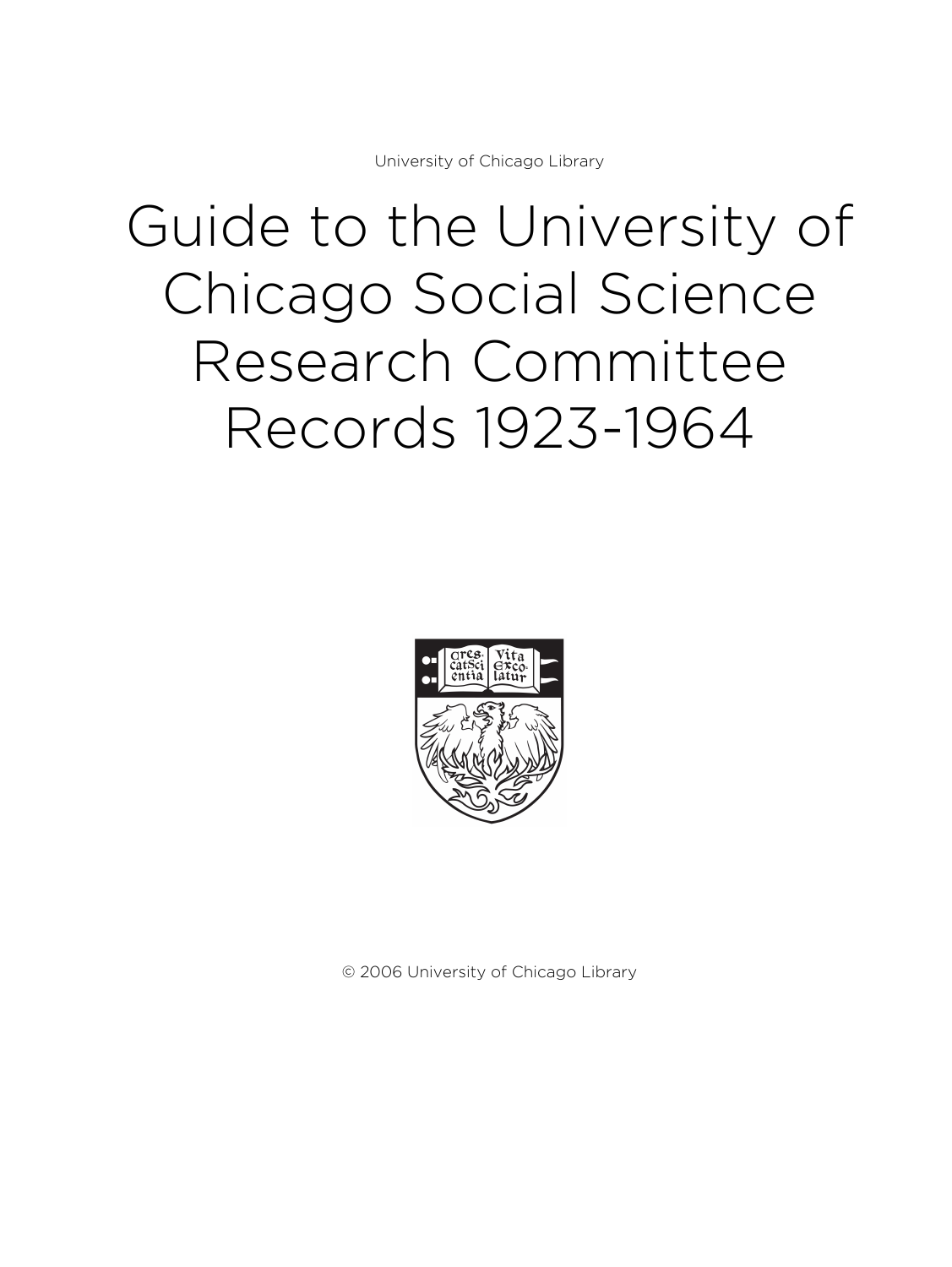University of Chicago Library

# Guide to the University of Chicago Social Science Research Committee Records 1923-1964



© 2006 University of Chicago Library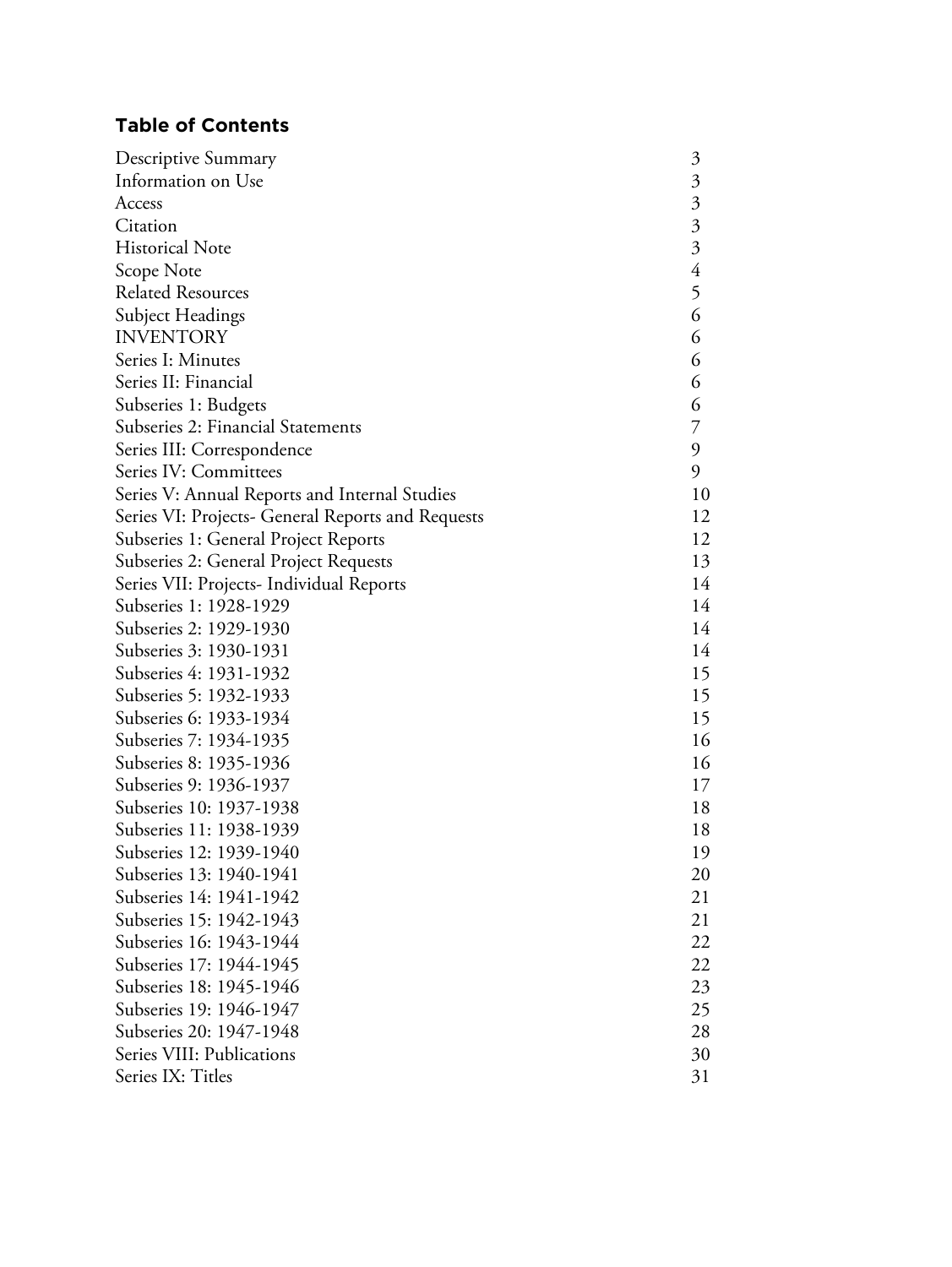# **Table of Contents**

| Descriptive Summary                               | $\mathfrak{Z}$            |
|---------------------------------------------------|---------------------------|
| Information on Use                                | $\mathfrak{Z}$            |
| Access                                            | $\mathfrak{Z}$            |
| Citation                                          | $\overline{\mathfrak{Z}}$ |
| <b>Historical Note</b>                            | $\overline{\mathfrak{Z}}$ |
| Scope Note                                        | $\overline{4}$            |
| <b>Related Resources</b>                          | 5                         |
| Subject Headings                                  | 6                         |
| <b>INVENTORY</b>                                  | 6                         |
| Series I: Minutes                                 | 6                         |
| Series II: Financial                              | 6                         |
| Subseries 1: Budgets                              | 6                         |
| Subseries 2: Financial Statements                 | 7                         |
| Series III: Correspondence                        | 9                         |
| Series IV: Committees                             | 9                         |
| Series V: Annual Reports and Internal Studies     | 10                        |
| Series VI: Projects- General Reports and Requests | 12                        |
| Subseries 1: General Project Reports              | 12                        |
| Subseries 2: General Project Requests             | 13                        |
| Series VII: Projects- Individual Reports          | 14                        |
| Subseries 1: 1928-1929                            | 14                        |
| Subseries 2: 1929-1930                            | 14                        |
| Subseries 3: 1930-1931                            | 14                        |
| Subseries 4: 1931-1932                            | 15                        |
| Subseries 5: 1932-1933                            | 15                        |
| Subseries 6: 1933-1934                            | 15                        |
| Subseries 7: 1934-1935                            | 16                        |
| Subseries 8: 1935-1936                            | 16                        |
| Subseries 9: 1936-1937                            | 17                        |
| Subseries 10: 1937-1938                           | 18                        |
| Subseries 11: 1938-1939                           | 18                        |
| Subseries 12: 1939-1940                           | 19                        |
| Subseries 13: 1940-1941                           | 20                        |
| Subseries 14: 1941-1942                           | 21                        |
| Subseries 15: 1942-1943                           | 21                        |
| Subseries 16: 1943-1944                           | 22                        |
| Subseries 17: 1944-1945                           | 22                        |
| Subseries 18: 1945-1946                           | 23                        |
| Subseries 19: 1946-1947                           | 25                        |
| Subseries 20: 1947-1948                           | 28                        |
| Series VIII: Publications                         | 30                        |
| Series IX: Titles                                 | 31                        |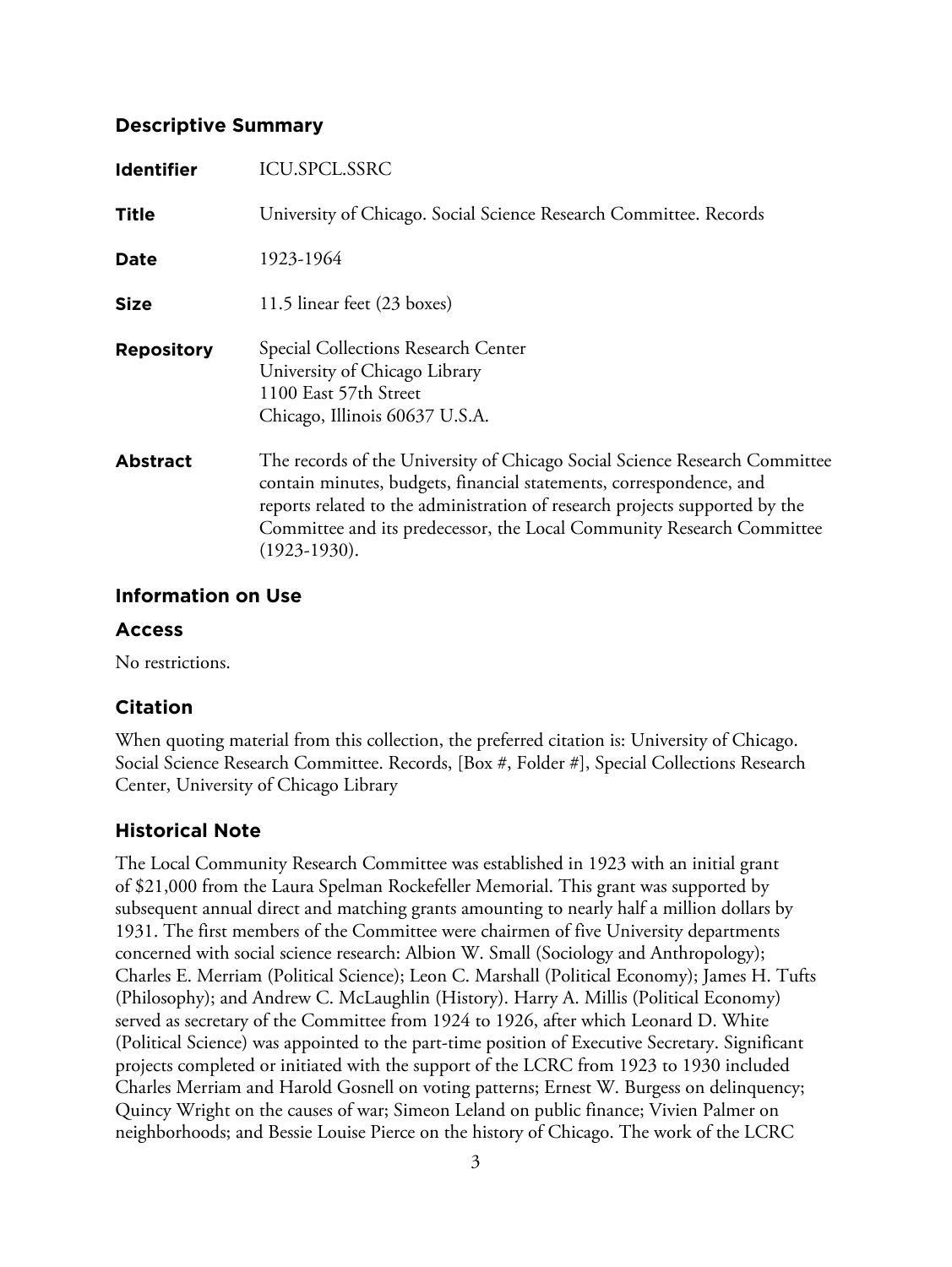## **Descriptive Summary**

| <b>Identifier</b> | <b>ICU.SPCL.SSRC</b>                                                                                                                                                                                                                                                                                                        |
|-------------------|-----------------------------------------------------------------------------------------------------------------------------------------------------------------------------------------------------------------------------------------------------------------------------------------------------------------------------|
| <b>Title</b>      | University of Chicago. Social Science Research Committee. Records                                                                                                                                                                                                                                                           |
| Date              | 1923-1964                                                                                                                                                                                                                                                                                                                   |
| <b>Size</b>       | 11.5 linear feet (23 boxes)                                                                                                                                                                                                                                                                                                 |
| <b>Repository</b> | Special Collections Research Center<br>University of Chicago Library<br>1100 East 57th Street<br>Chicago, Illinois 60637 U.S.A.                                                                                                                                                                                             |
| <b>Abstract</b>   | The records of the University of Chicago Social Science Research Committee<br>contain minutes, budgets, financial statements, correspondence, and<br>reports related to the administration of research projects supported by the<br>Committee and its predecessor, the Local Community Research Committee<br>$(1923-1930).$ |

# **Information on Use**

## **Access**

No restrictions.

# **Citation**

When quoting material from this collection, the preferred citation is: University of Chicago. Social Science Research Committee. Records, [Box #, Folder #], Special Collections Research Center, University of Chicago Library

# **Historical Note**

The Local Community Research Committee was established in 1923 with an initial grant of \$21,000 from the Laura Spelman Rockefeller Memorial. This grant was supported by subsequent annual direct and matching grants amounting to nearly half a million dollars by 1931. The first members of the Committee were chairmen of five University departments concerned with social science research: Albion W. Small (Sociology and Anthropology); Charles E. Merriam (Political Science); Leon C. Marshall (Political Economy); James H. Tufts (Philosophy); and Andrew C. McLaughlin (History). Harry A. Millis (Political Economy) served as secretary of the Committee from 1924 to 1926, after which Leonard D. White (Political Science) was appointed to the part-time position of Executive Secretary. Significant projects completed or initiated with the support of the LCRC from 1923 to 1930 included Charles Merriam and Harold Gosnell on voting patterns; Ernest W. Burgess on delinquency; Quincy Wright on the causes of war; Simeon Leland on public finance; Vivien Palmer on neighborhoods; and Bessie Louise Pierce on the history of Chicago. The work of the LCRC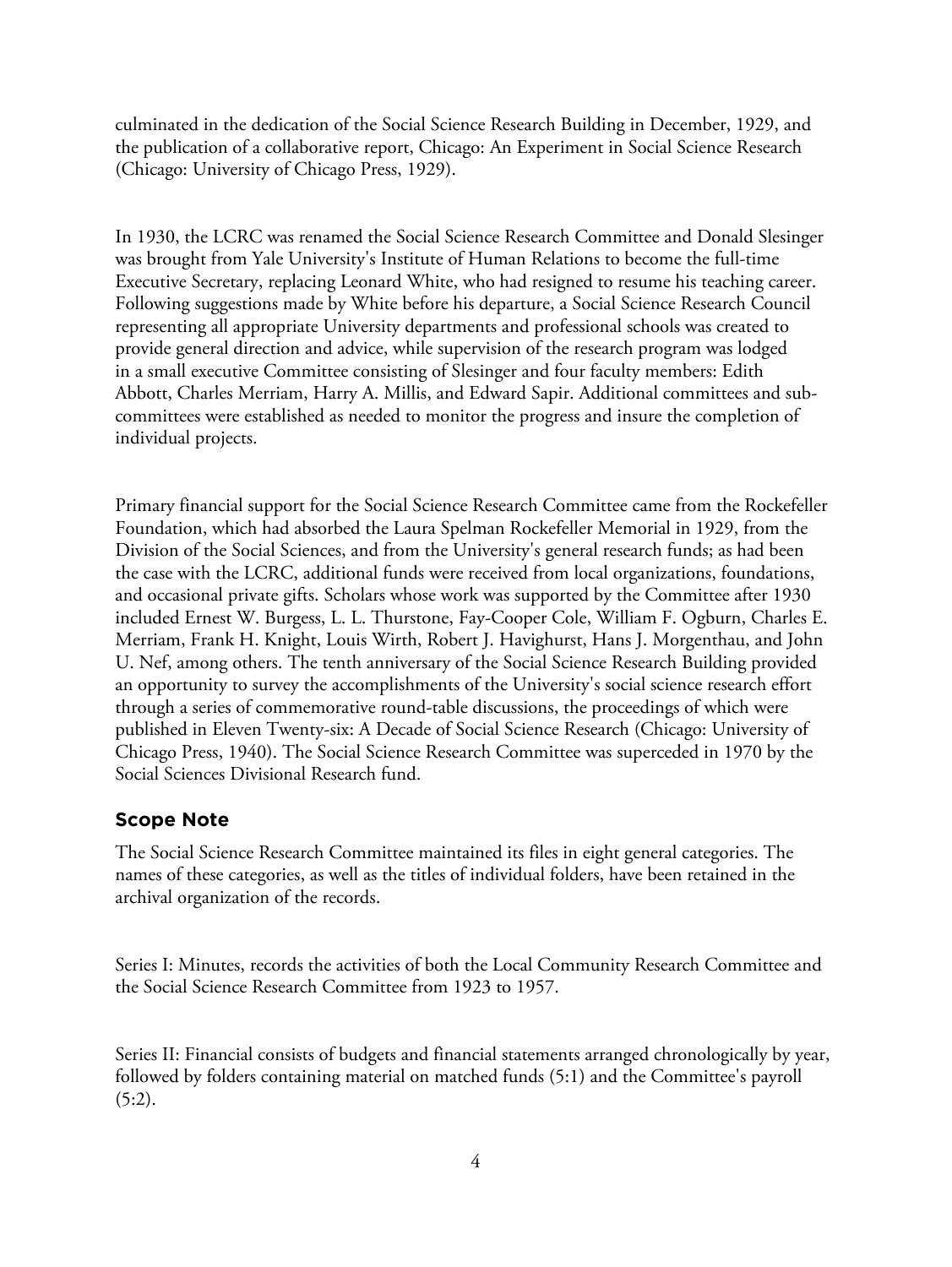culminated in the dedication of the Social Science Research Building in December, 1929, and the publication of a collaborative report, Chicago: An Experiment in Social Science Research (Chicago: University of Chicago Press, 1929).

In 1930, the LCRC was renamed the Social Science Research Committee and Donald Slesinger was brought from Yale University's Institute of Human Relations to become the full-time Executive Secretary, replacing Leonard White, who had resigned to resume his teaching career. Following suggestions made by White before his departure, a Social Science Research Council representing all appropriate University departments and professional schools was created to provide general direction and advice, while supervision of the research program was lodged in a small executive Committee consisting of Slesinger and four faculty members: Edith Abbott, Charles Merriam, Harry A. Millis, and Edward Sapir. Additional committees and subcommittees were established as needed to monitor the progress and insure the completion of individual projects.

Primary financial support for the Social Science Research Committee came from the Rockefeller Foundation, which had absorbed the Laura Spelman Rockefeller Memorial in 1929, from the Division of the Social Sciences, and from the University's general research funds; as had been the case with the LCRC, additional funds were received from local organizations, foundations, and occasional private gifts. Scholars whose work was supported by the Committee after 1930 included Ernest W. Burgess, L. L. Thurstone, Fay-Cooper Cole, William F. Ogburn, Charles E. Merriam, Frank H. Knight, Louis Wirth, Robert J. Havighurst, Hans J. Morgenthau, and John U. Nef, among others. The tenth anniversary of the Social Science Research Building provided an opportunity to survey the accomplishments of the University's social science research effort through a series of commemorative round-table discussions, the proceedings of which were published in Eleven Twenty-six: A Decade of Social Science Research (Chicago: University of Chicago Press, 1940). The Social Science Research Committee was superceded in 1970 by the Social Sciences Divisional Research fund.

#### **Scope Note**

The Social Science Research Committee maintained its files in eight general categories. The names of these categories, as well as the titles of individual folders, have been retained in the archival organization of the records.

Series I: Minutes, records the activities of both the Local Community Research Committee and the Social Science Research Committee from 1923 to 1957.

Series II: Financial consists of budgets and financial statements arranged chronologically by year, followed by folders containing material on matched funds (5:1) and the Committee's payroll  $(5:2)$ .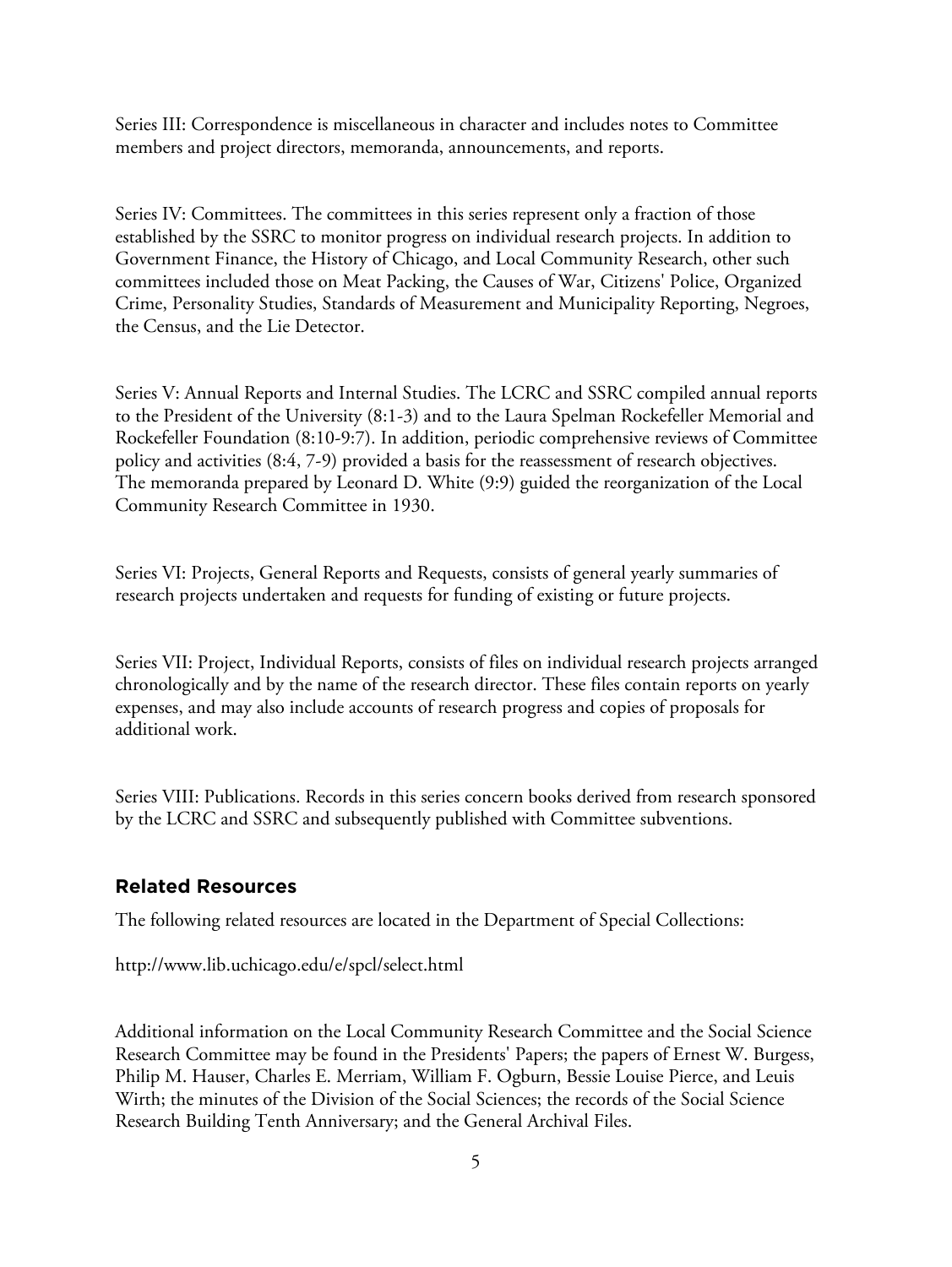Series III: Correspondence is miscellaneous in character and includes notes to Committee members and project directors, memoranda, announcements, and reports.

Series IV: Committees. The committees in this series represent only a fraction of those established by the SSRC to monitor progress on individual research projects. In addition to Government Finance, the History of Chicago, and Local Community Research, other such committees included those on Meat Packing, the Causes of War, Citizens' Police, Organized Crime, Personality Studies, Standards of Measurement and Municipality Reporting, Negroes, the Census, and the Lie Detector.

Series V: Annual Reports and Internal Studies. The LCRC and SSRC compiled annual reports to the President of the University (8:1-3) and to the Laura Spelman Rockefeller Memorial and Rockefeller Foundation (8:10-9:7). In addition, periodic comprehensive reviews of Committee policy and activities (8:4, 7-9) provided a basis for the reassessment of research objectives. The memoranda prepared by Leonard D. White (9:9) guided the reorganization of the Local Community Research Committee in 1930.

Series VI: Projects, General Reports and Requests, consists of general yearly summaries of research projects undertaken and requests for funding of existing or future projects.

Series VII: Project, Individual Reports, consists of files on individual research projects arranged chronologically and by the name of the research director. These files contain reports on yearly expenses, and may also include accounts of research progress and copies of proposals for additional work.

Series VIII: Publications. Records in this series concern books derived from research sponsored by the LCRC and SSRC and subsequently published with Committee subventions.

#### **Related Resources**

The following related resources are located in the Department of Special Collections:

http://www.lib.uchicago.edu/e/spcl/select.html

Additional information on the Local Community Research Committee and the Social Science Research Committee may be found in the Presidents' Papers; the papers of Ernest W. Burgess, Philip M. Hauser, Charles E. Merriam, William F. Ogburn, Bessie Louise Pierce, and Leuis Wirth; the minutes of the Division of the Social Sciences; the records of the Social Science Research Building Tenth Anniversary; and the General Archival Files.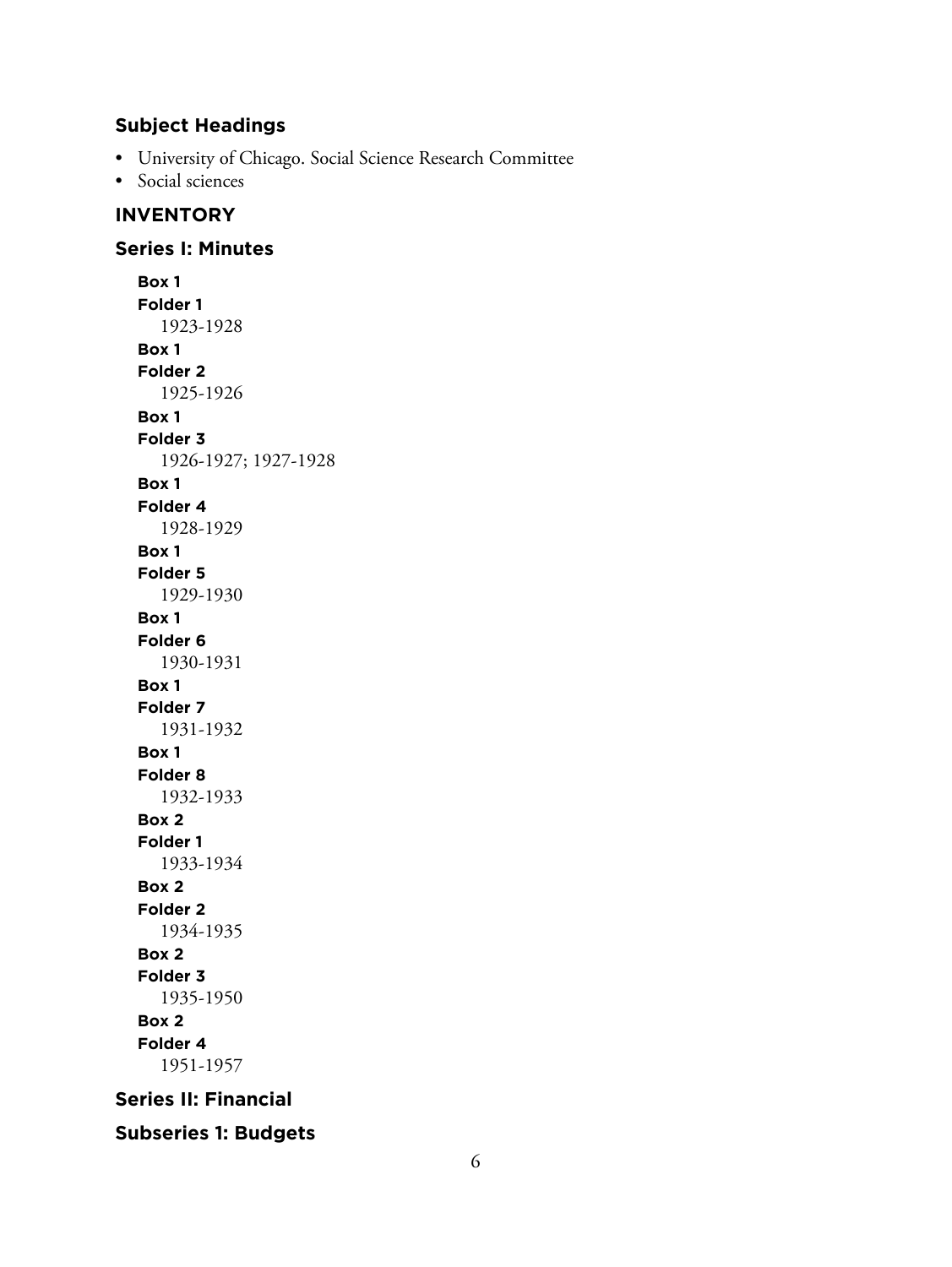# **Subject Headings**

- University of Chicago. Social Science Research Committee
- Social sciences

# **INVENTORY**

# **Series I: Minutes**

**Box 1 Folder 1** 1923-1928 **Box 1 Folder 2** 1925-1926 **Box 1 Folder 3** 1926-1927; 1927-1928 **Box 1 Folder 4** 1928-1929 **Box 1 Folder 5** 1929-1930 **Box 1 Folder 6** 1930-1931 **Box 1 Folder 7** 1931-1932 **Box 1 Folder 8** 1932-1933 **Box 2 Folder 1** 1933-1934 **Box 2 Folder 2** 1934-1935 **Box 2 Folder 3** 1935-1950 **Box 2 Folder 4** 1951-1957

# **Series II: Financial**

**Subseries 1: Budgets**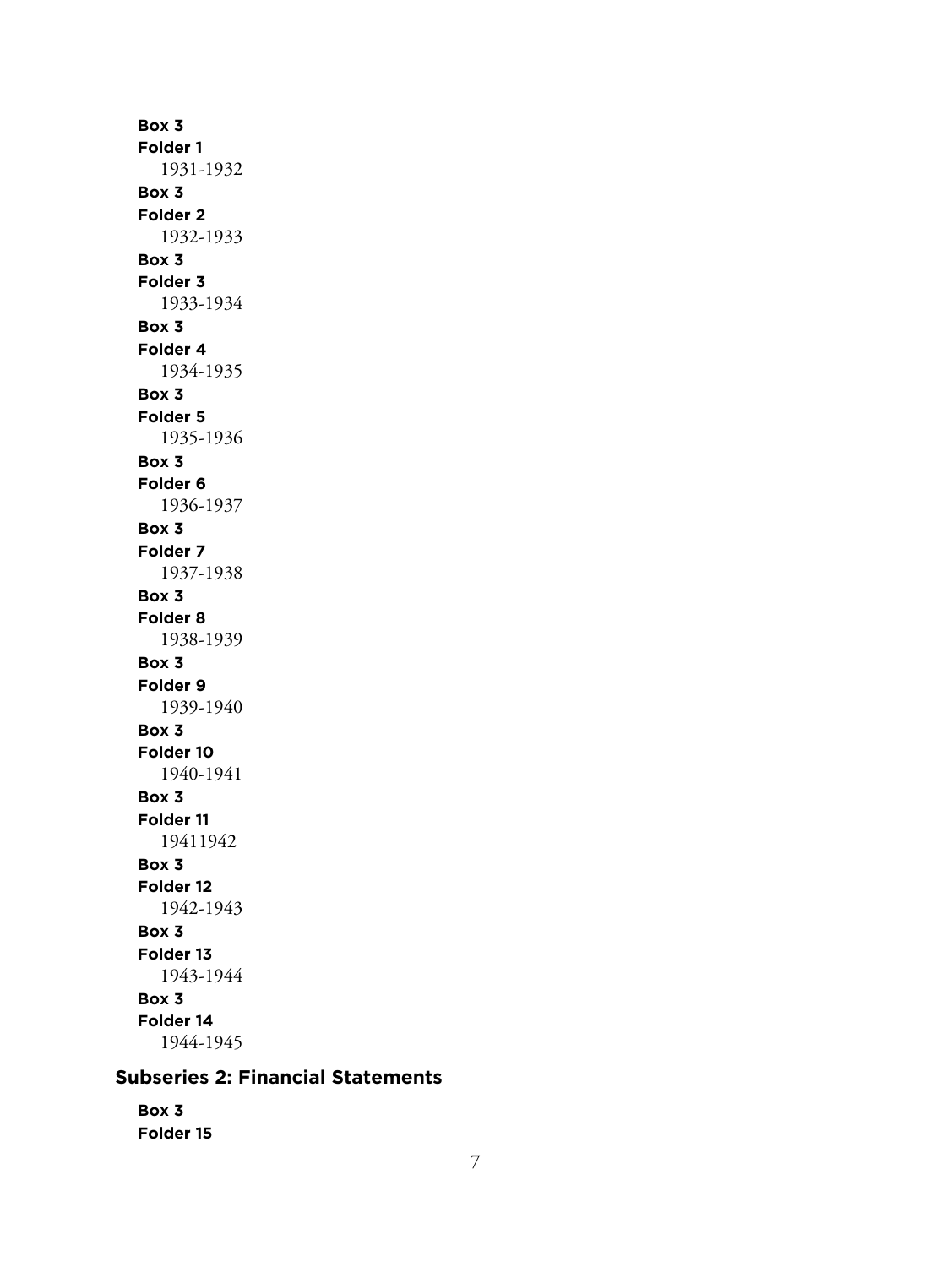**Box 3 Folder 1** 1931-1932 **Box 3 Folder 2** 1932-1933 **Box 3 Folder 3** 1933-1934 **Box 3 Folder 4** 1934-1935 **Box 3 Folder 5** 1935-1936 **Box 3 Folder 6** 1936-1937 **Box 3 Folder 7** 1937-1938 **Box 3 Folder 8** 1938-1939 **Box 3 Folder 9** 1939-1940 **Box 3 Folder 10** 1940-1941 **Box 3 Folder 11** 19411942 **Box 3 Folder 12** 1942-1943 **Box 3 Folder 13** 1943-1944 **Box 3 Folder 14** 1944-1945

# **Subseries 2: Financial Statements**

**Box 3 Folder 15**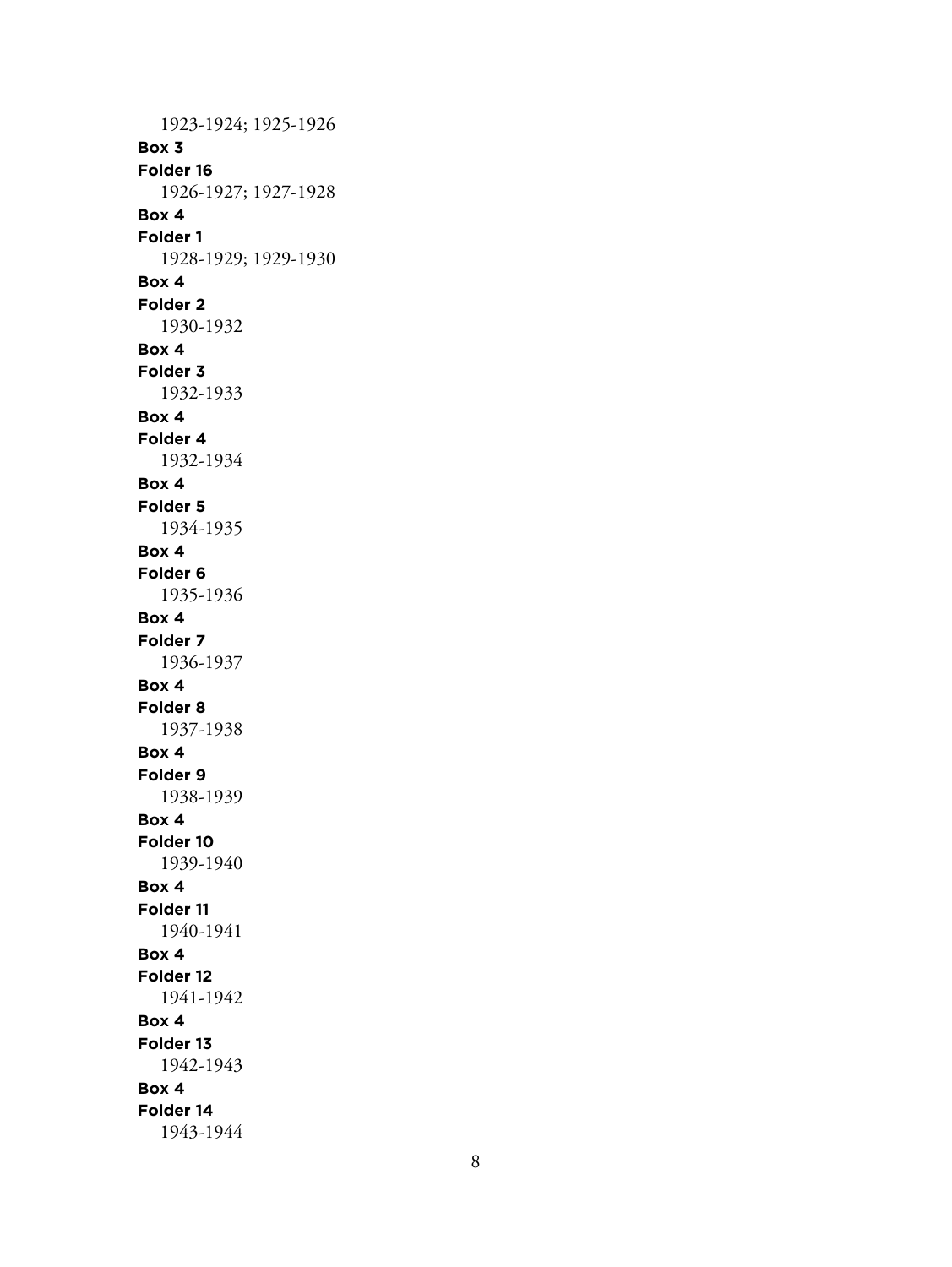1923-1924; 1925-1926 **Box 3 Folder 16** 1926-1927; 1927-1928 **Box 4 Folder 1** 1928-1929; 1929-1930 **Box 4 Folder 2** 1930-1932 **Box 4 Folder 3** 1932-1933 **Box 4 Folder 4** 1932-1934 **Box 4 Folder 5** 1934-1935 **Box 4 Folder 6** 1935-1936 **Box 4 Folder 7** 1936-1937 **Box 4 Folder 8** 1937-1938 **Box 4 Folder 9** 1938-1939 **Box 4 Folder 10** 1939-1940 **Box 4 Folder 11** 1940-1941 **Box 4 Folder 12** 1941-1942 **Box 4 Folder 13** 1942-1943 **Box 4 Folder 14** 1943-1944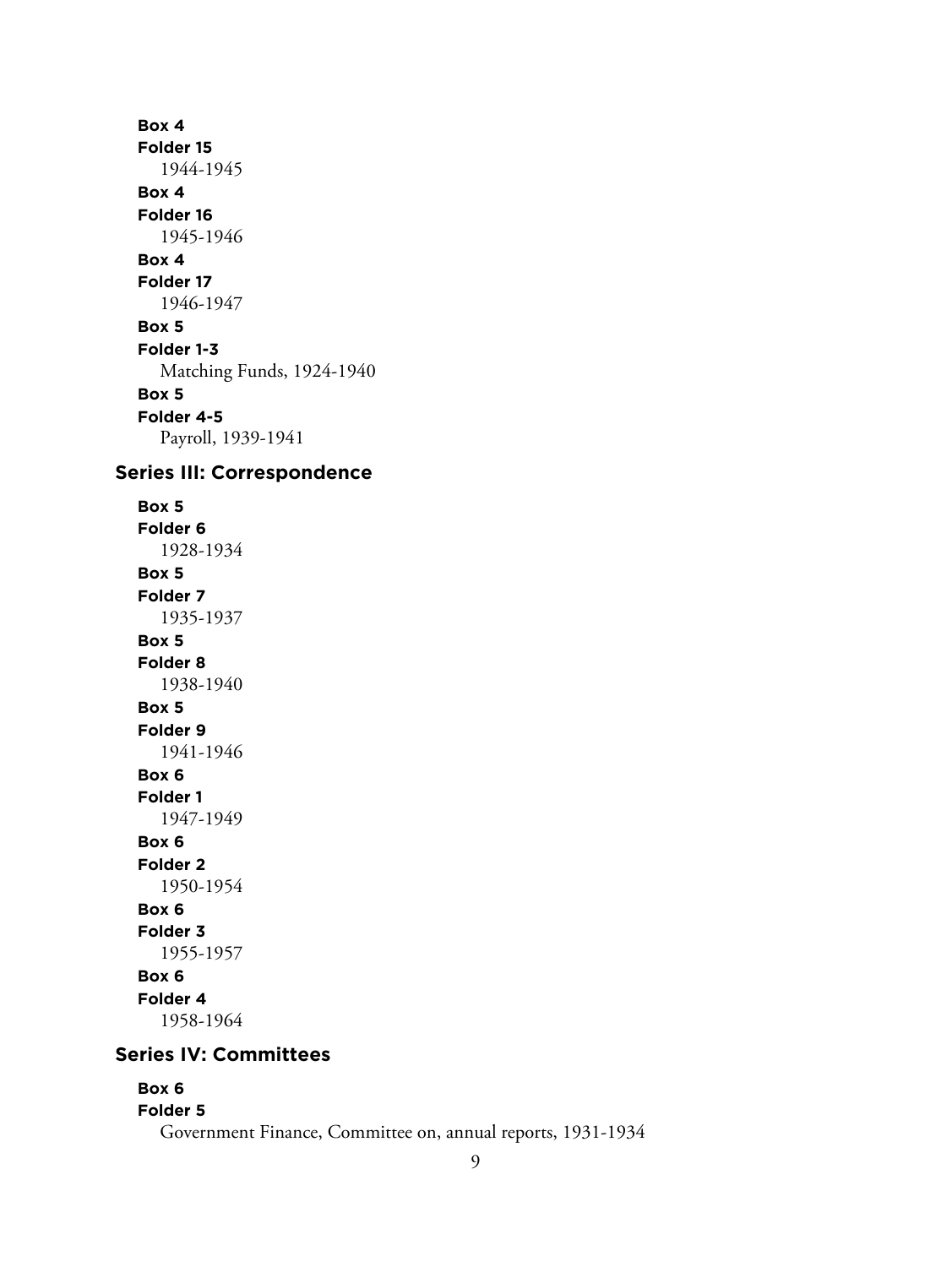**Box 4 Folder 15** 1944-1945 **Box 4 Folder 16** 1945-1946 **Box 4 Folder 17** 1946-1947 **Box 5 Folder 1-3** Matching Funds, 1924-1940 **Box 5 Folder 4-5** Payroll, 1939-1941

## **Series III: Correspondence**

**Box 5 Folder 6** 1928-1934 **Box 5 Folder 7** 1935-1937 **Box 5 Folder 8** 1938-1940 **Box 5 Folder 9** 1941-1946 **Box 6 Folder 1** 1947-1949 **Box 6 Folder 2** 1950-1954 **Box 6 Folder 3** 1955-1957 **Box 6 Folder 4** 1958-1964

# **Series IV: Committees**

#### **Box 6**

#### **Folder 5**

Government Finance, Committee on, annual reports, 1931-1934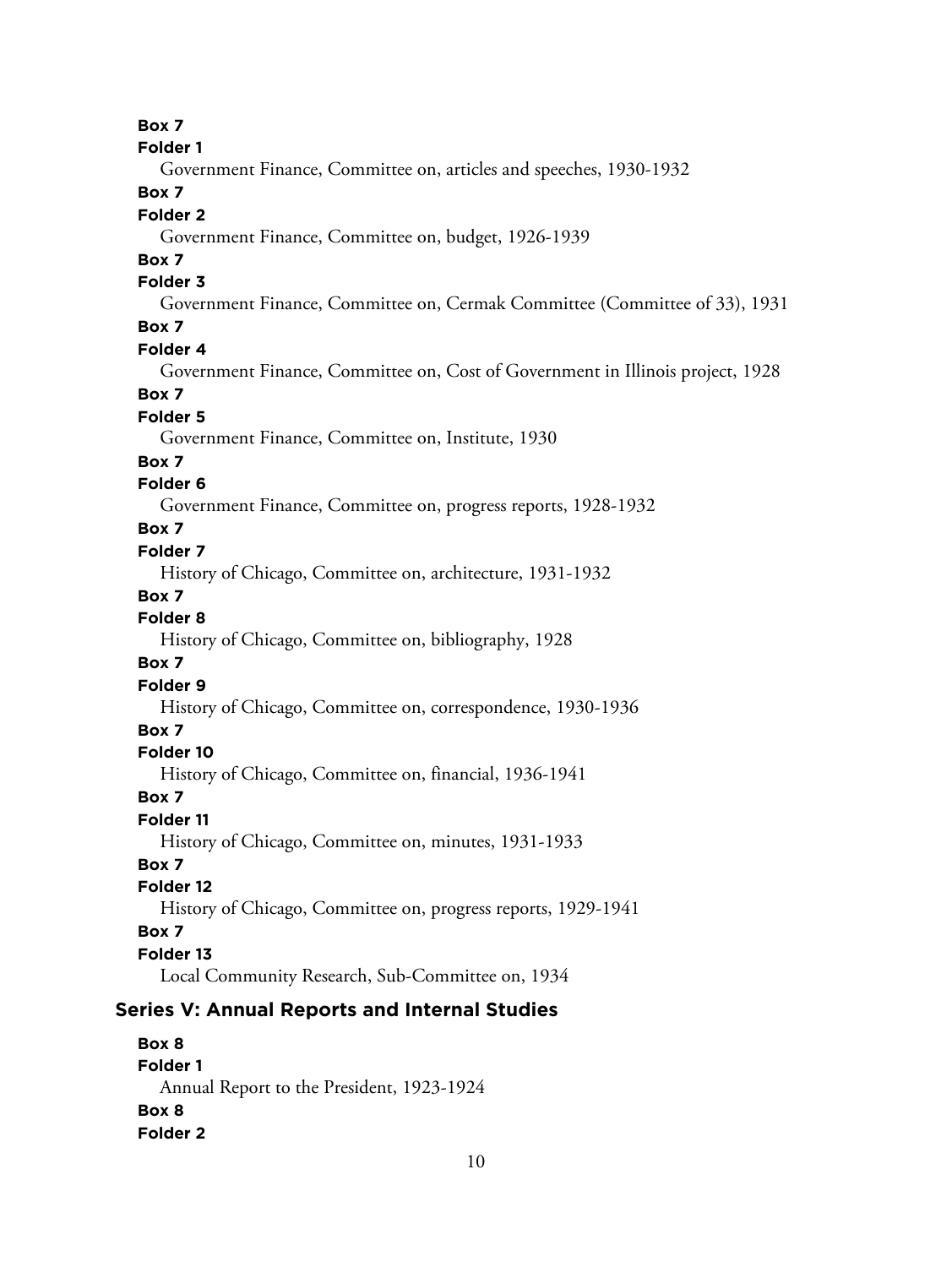**Box 7**

**Folder 1**

Government Finance, Committee on, articles and speeches, 1930-1932

## **Box 7**

### **Folder 2**

Government Finance, Committee on, budget, 1926-1939

## **Box 7**

## **Folder 3**

Government Finance, Committee on, Cermak Committee (Committee of 33), 1931

## **Box 7**

#### **Folder 4**

Government Finance, Committee on, Cost of Government in Illinois project, 1928

#### **Box 7**

#### **Folder 5**

Government Finance, Committee on, Institute, 1930

#### **Box 7**

#### **Folder 6**

Government Finance, Committee on, progress reports, 1928-1932

#### **Box 7**

## **Folder 7**

History of Chicago, Committee on, architecture, 1931-1932

#### **Box 7**

# **Folder 8**

History of Chicago, Committee on, bibliography, 1928

#### **Box 7**

#### **Folder 9**

History of Chicago, Committee on, correspondence, 1930-1936

#### **Box 7**

#### **Folder 10**

History of Chicago, Committee on, financial, 1936-1941

#### **Box 7**

## **Folder 11**

History of Chicago, Committee on, minutes, 1931-1933

### **Box 7**

#### **Folder 12**

History of Chicago, Committee on, progress reports, 1929-1941

#### **Box 7**

#### **Folder 13**

Local Community Research, Sub-Committee on, 1934

## **Series V: Annual Reports and Internal Studies**

## **Box 8 Folder 1** Annual Report to the President, 1923-1924 **Box 8 Folder 2**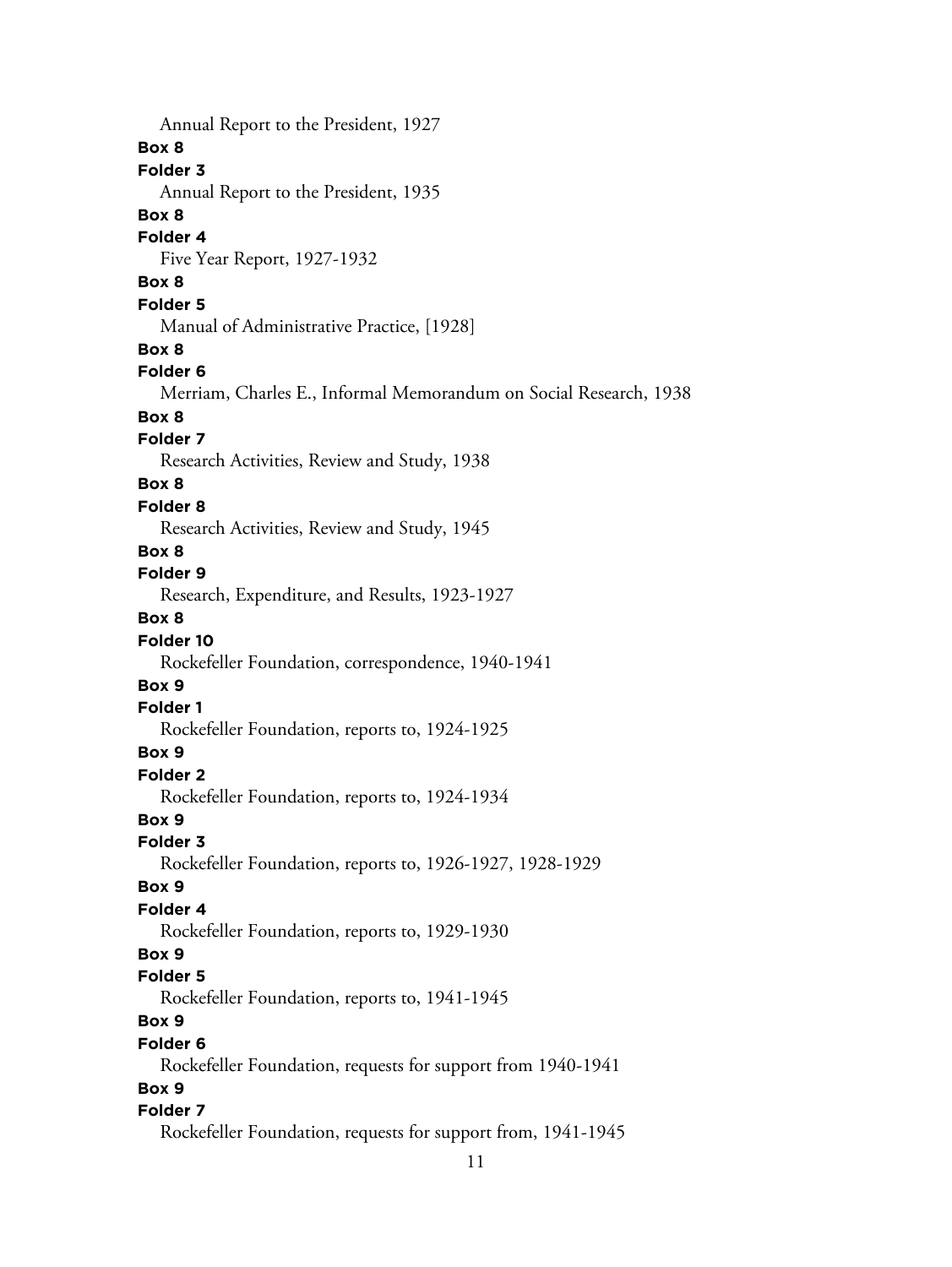Annual Report to the President, 1927 **Box 8 Folder 3** Annual Report to the President, 1935 **Box 8 Folder 4** Five Year Report, 1927-1932 **Box 8 Folder 5** Manual of Administrative Practice, [1928] **Box 8 Folder 6** Merriam, Charles E., Informal Memorandum on Social Research, 1938 **Box 8 Folder 7** Research Activities, Review and Study, 1938 **Box 8 Folder 8** Research Activities, Review and Study, 1945 **Box 8 Folder 9** Research, Expenditure, and Results, 1923-1927 **Box 8 Folder 10** Rockefeller Foundation, correspondence, 1940-1941 **Box 9 Folder 1** Rockefeller Foundation, reports to, 1924-1925 **Box 9 Folder 2** Rockefeller Foundation, reports to, 1924-1934 **Box 9 Folder 3** Rockefeller Foundation, reports to, 1926-1927, 1928-1929 **Box 9 Folder 4** Rockefeller Foundation, reports to, 1929-1930 **Box 9 Folder 5** Rockefeller Foundation, reports to, 1941-1945 **Box 9 Folder 6** Rockefeller Foundation, requests for support from 1940-1941 **Box 9 Folder 7** Rockefeller Foundation, requests for support from, 1941-1945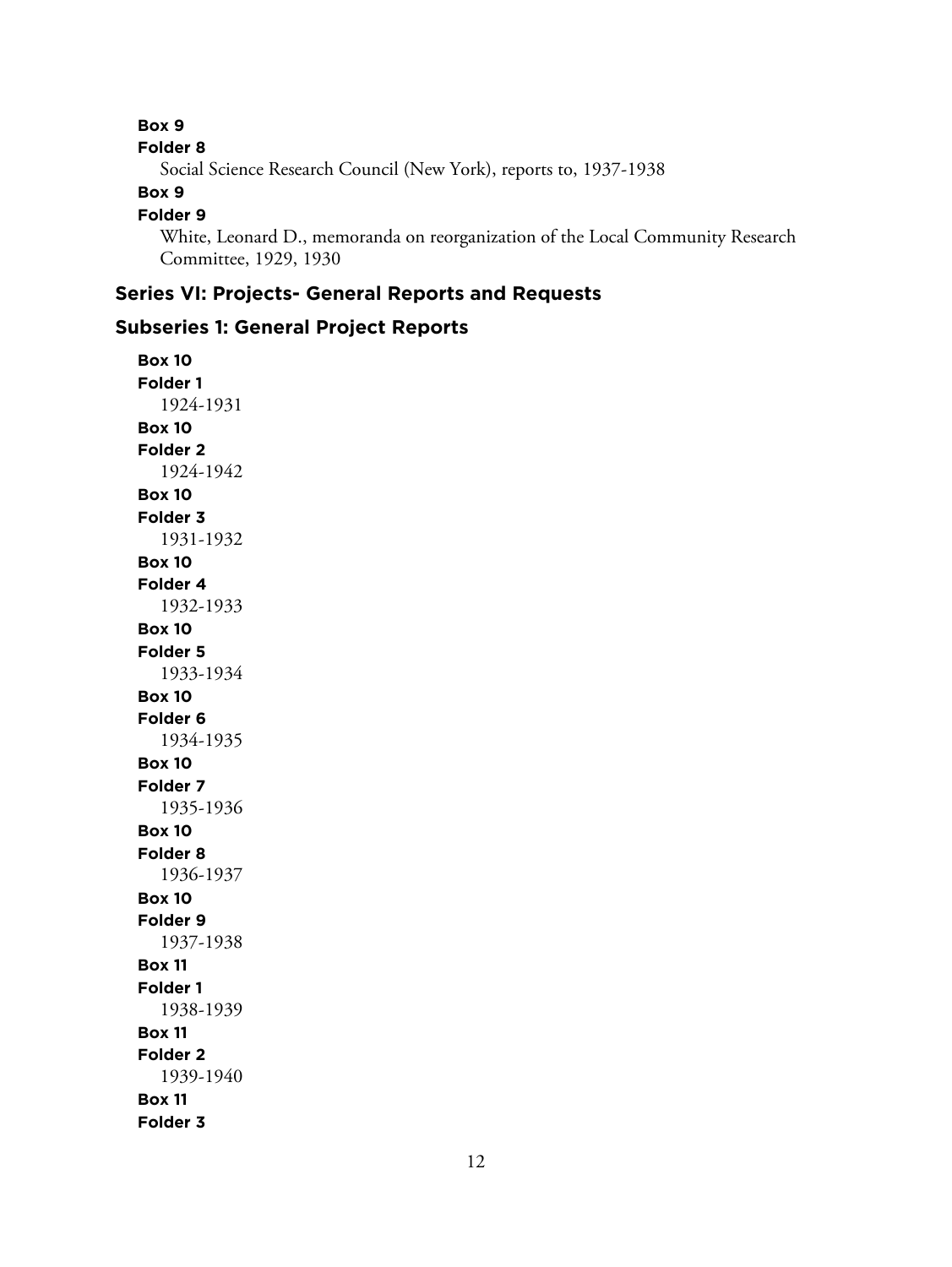#### **Box 9**

**Folder 8**

Social Science Research Council (New York), reports to, 1937-1938

#### **Box 9**

#### **Folder 9**

White, Leonard D., memoranda on reorganization of the Local Community Research Committee, 1929, 1930

# **Series VI: Projects- General Reports and Requests**

#### **Subseries 1: General Project Reports**

**Box 10 Folder 1** 1924-1931 **Box 10 Folder 2** 1924-1942 **Box 10 Folder 3** 1931-1932 **Box 10 Folder 4** 1932-1933 **Box 10 Folder 5** 1933-1934 **Box 10 Folder 6** 1934-1935 **Box 10 Folder 7** 1935-1936 **Box 10 Folder 8** 1936-1937 **Box 10 Folder 9** 1937-1938 **Box 11 Folder 1** 1938-1939 **Box 11 Folder 2** 1939-1940 **Box 11 Folder 3**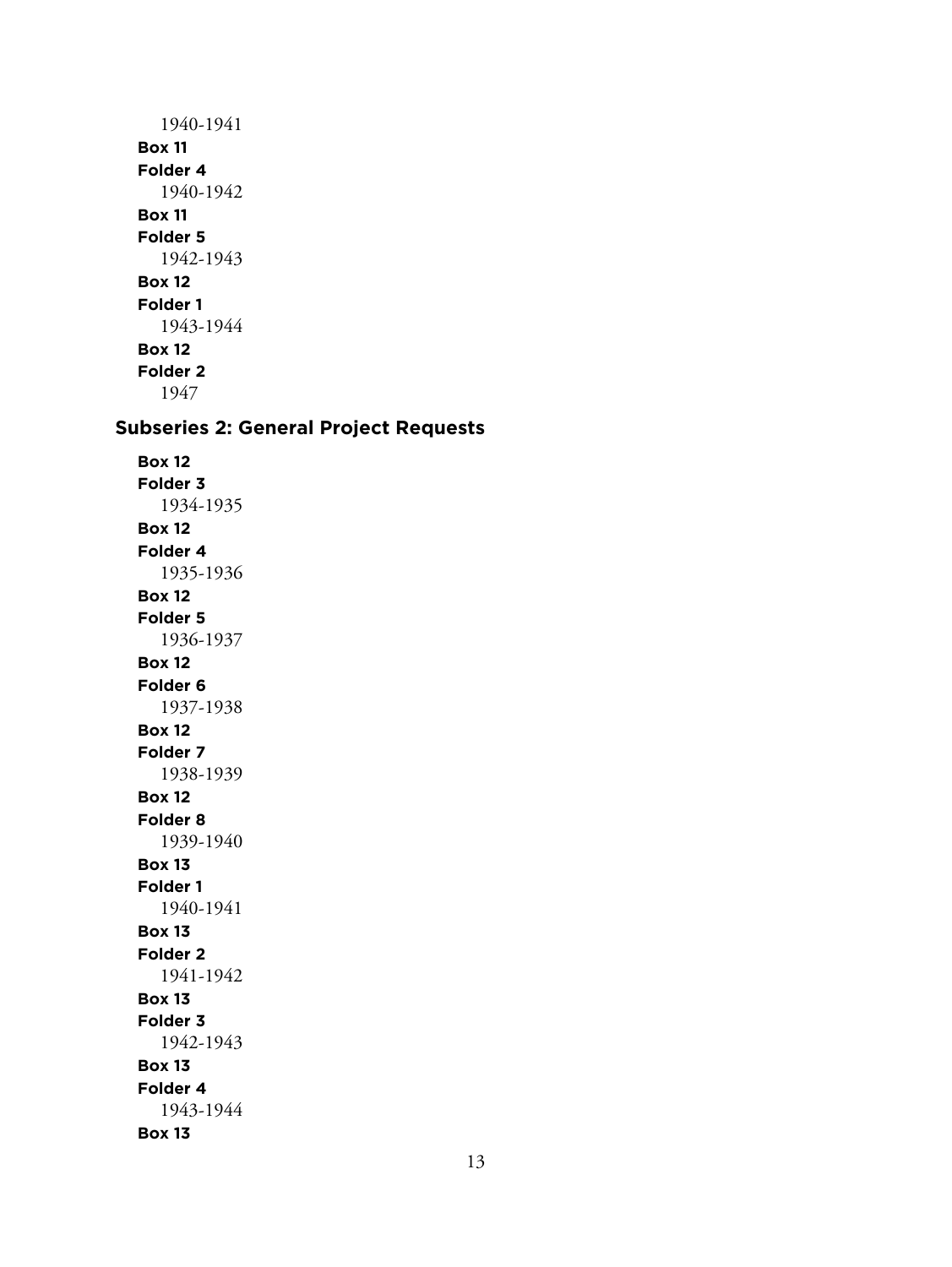1940-1941 **Box 11 Folder 4** 1940-1942 **Box 11 Folder 5** 1942-1943 **Box 12 Folder 1** 1943-1944 **Box 12 Folder 2** 1947

# **Subseries 2: General Project Requests**

**Box 12 Folder 3** 1934-1935 **Box 12 Folder 4** 1935-1936 **Box 12 Folder 5** 1936-1937 **Box 12 Folder 6** 1937-1938 **Box 12 Folder 7** 1938-1939 **Box 12 Folder 8** 1939-1940 **Box 13 Folder 1** 1940-1941 **Box 13 Folder 2** 1941-1942 **Box 13 Folder 3** 1942-1943 **Box 13 Folder 4** 1943-1944 **Box 13**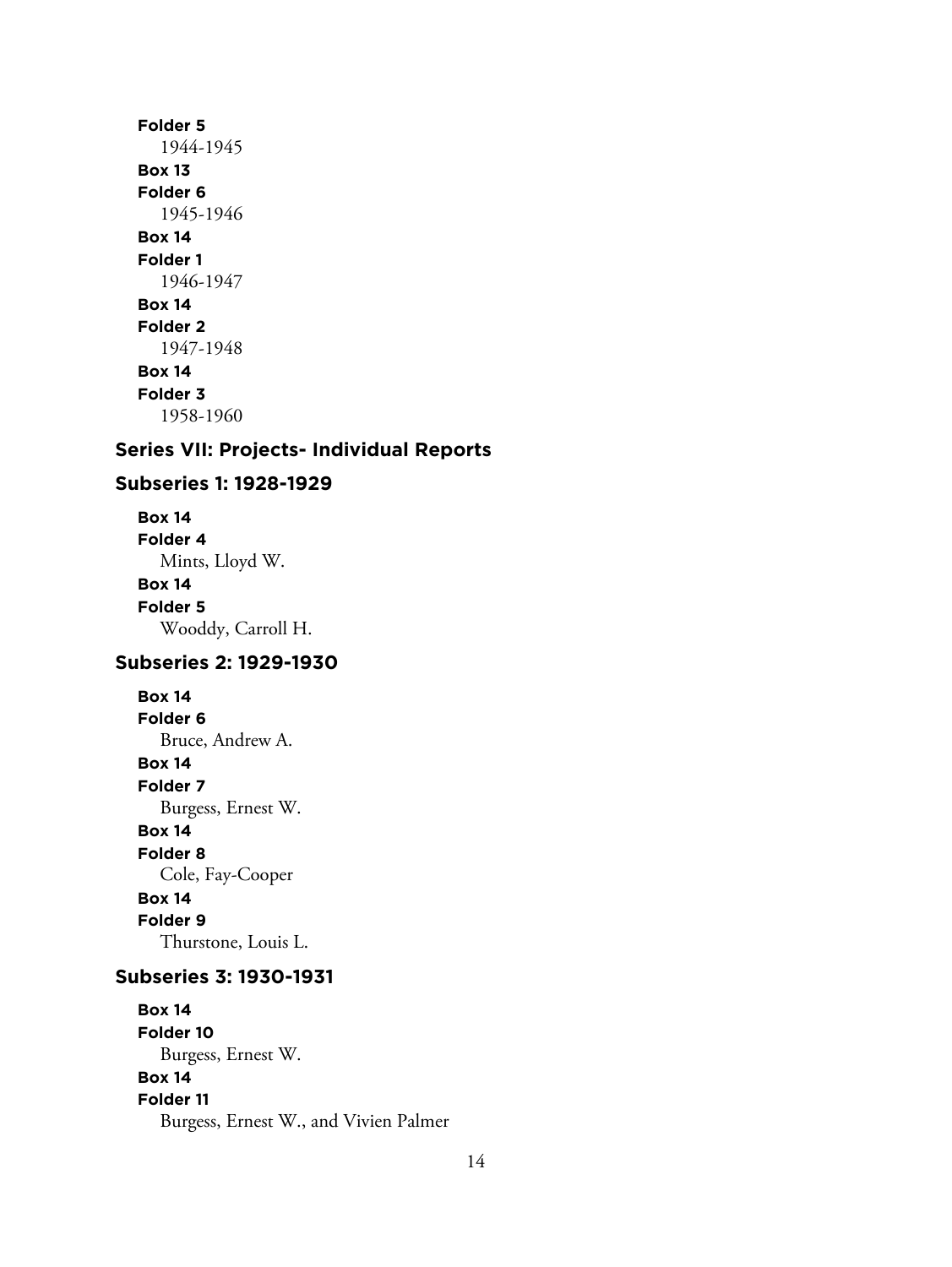## **Folder 5** 1944-1945 **Box 13 Folder 6** 1945-1946 **Box 14 Folder 1** 1946-1947 **Box 14 Folder 2** 1947-1948 **Box 14 Folder 3** 1958-1960

# **Series VII: Projects- Individual Reports**

#### **Subseries 1: 1928-1929**

**Box 14 Folder 4** Mints, Lloyd W. **Box 14 Folder 5** Wooddy, Carroll H.

## **Subseries 2: 1929-1930**

**Box 14 Folder 6** Bruce, Andrew A. **Box 14 Folder 7** Burgess, Ernest W. **Box 14 Folder 8** Cole, Fay-Cooper **Box 14 Folder 9** Thurstone, Louis L.

#### **Subseries 3: 1930-1931**

**Box 14 Folder 10** Burgess, Ernest W. **Box 14 Folder 11** Burgess, Ernest W., and Vivien Palmer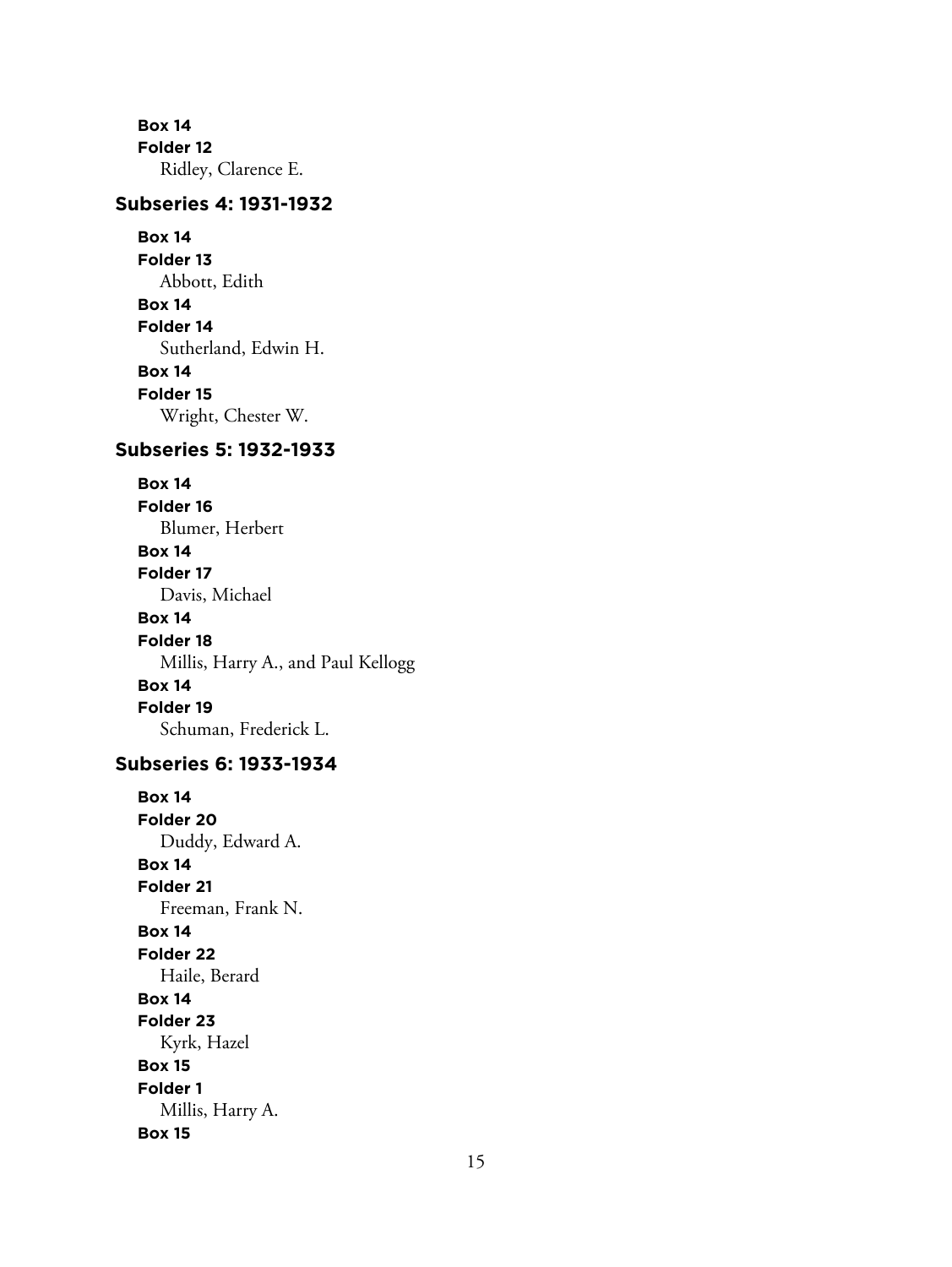**Box 14 Folder 12** Ridley, Clarence E.

## **Subseries 4: 1931-1932**

**Box 14 Folder 13** Abbott, Edith **Box 14 Folder 14** Sutherland, Edwin H. **Box 14 Folder 15** Wright, Chester W.

#### **Subseries 5: 1932-1933**

**Box 14**

**Folder 16** Blumer, Herbert **Box 14 Folder 17** Davis, Michael **Box 14 Folder 18** Millis, Harry A., and Paul Kellogg **Box 14 Folder 19** Schuman, Frederick L.

## **Subseries 6: 1933-1934**

**Box 14 Folder 20** Duddy, Edward A. **Box 14 Folder 21** Freeman, Frank N. **Box 14 Folder 22** Haile, Berard **Box 14 Folder 23** Kyrk, Hazel **Box 15 Folder 1** Millis, Harry A. **Box 15**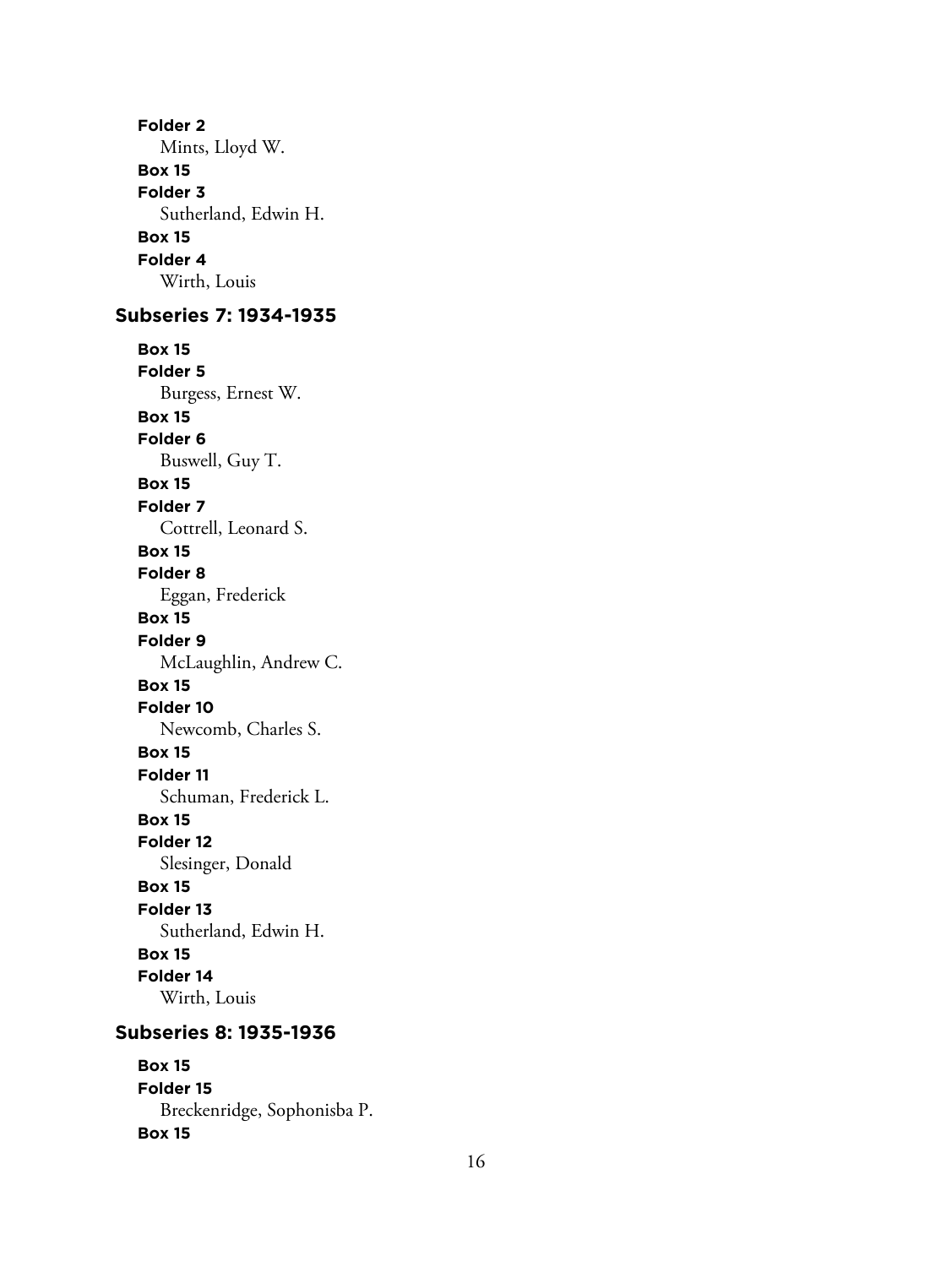**Folder 2** Mints, Lloyd W. **Box 15 Folder 3** Sutherland, Edwin H. **Box 15 Folder 4** Wirth, Louis **Subseries 7: 1934-1935 Box 15 Folder 5** Burgess, Ernest W. **Box 15 Folder 6** Buswell, Guy T. **Box 15 Folder 7** Cottrell, Leonard S. **Box 15 Folder 8** Eggan, Frederick **Box 15 Folder 9** McLaughlin, Andrew C. **Box 15 Folder 10** Newcomb, Charles S. **Box 15 Folder 11** Schuman, Frederick L. **Box 15 Folder 12** Slesinger, Donald **Box 15 Folder 13** Sutherland, Edwin H. **Box 15 Folder 14** Wirth, Louis **Subseries 8: 1935-1936**

**Box 15 Folder 15** Breckenridge, Sophonisba P. **Box 15**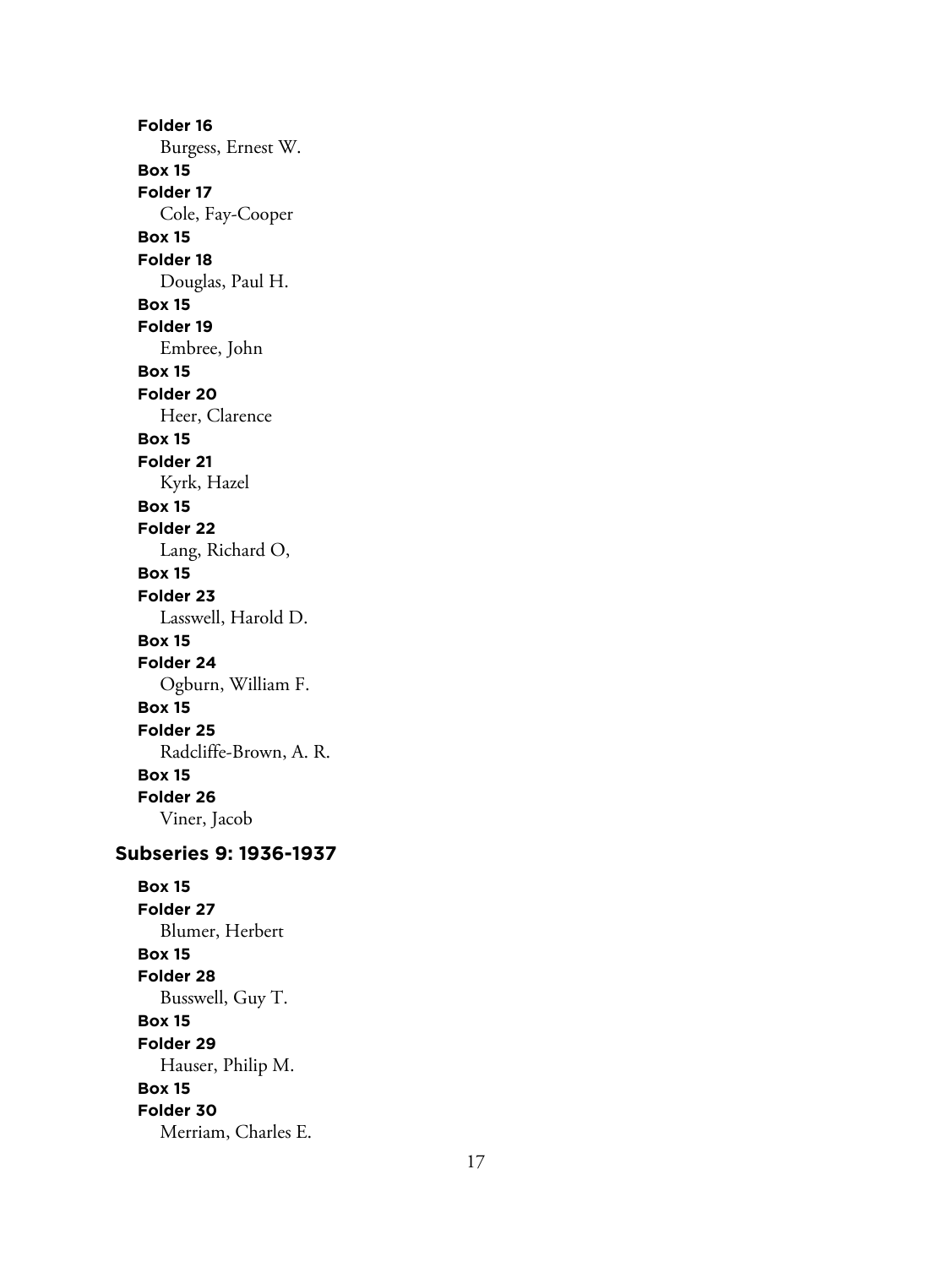**Folder 16** Burgess, Ernest W. **Box 15 Folder 17** Cole, Fay-Cooper **Box 15 Folder 18** Douglas, Paul H. **Box 15 Folder 19** Embree, John **Box 15 Folder 20** Heer, Clarence **Box 15 Folder 21** Kyrk, Hazel **Box 15 Folder 22** Lang, Richard O, **Box 15 Folder 23** Lasswell, Harold D. **Box 15 Folder 24** Ogburn, William F. **Box 15 Folder 25** Radcliffe-Brown, A. R. **Box 15 Folder 26** Viner, Jacob **Subseries 9: 1936-1937 Box 15**

**Folder 27** Blumer, Herbert **Box 15 Folder 28** Busswell, Guy T. **Box 15 Folder 29** Hauser, Philip M. **Box 15 Folder 30** Merriam, Charles E.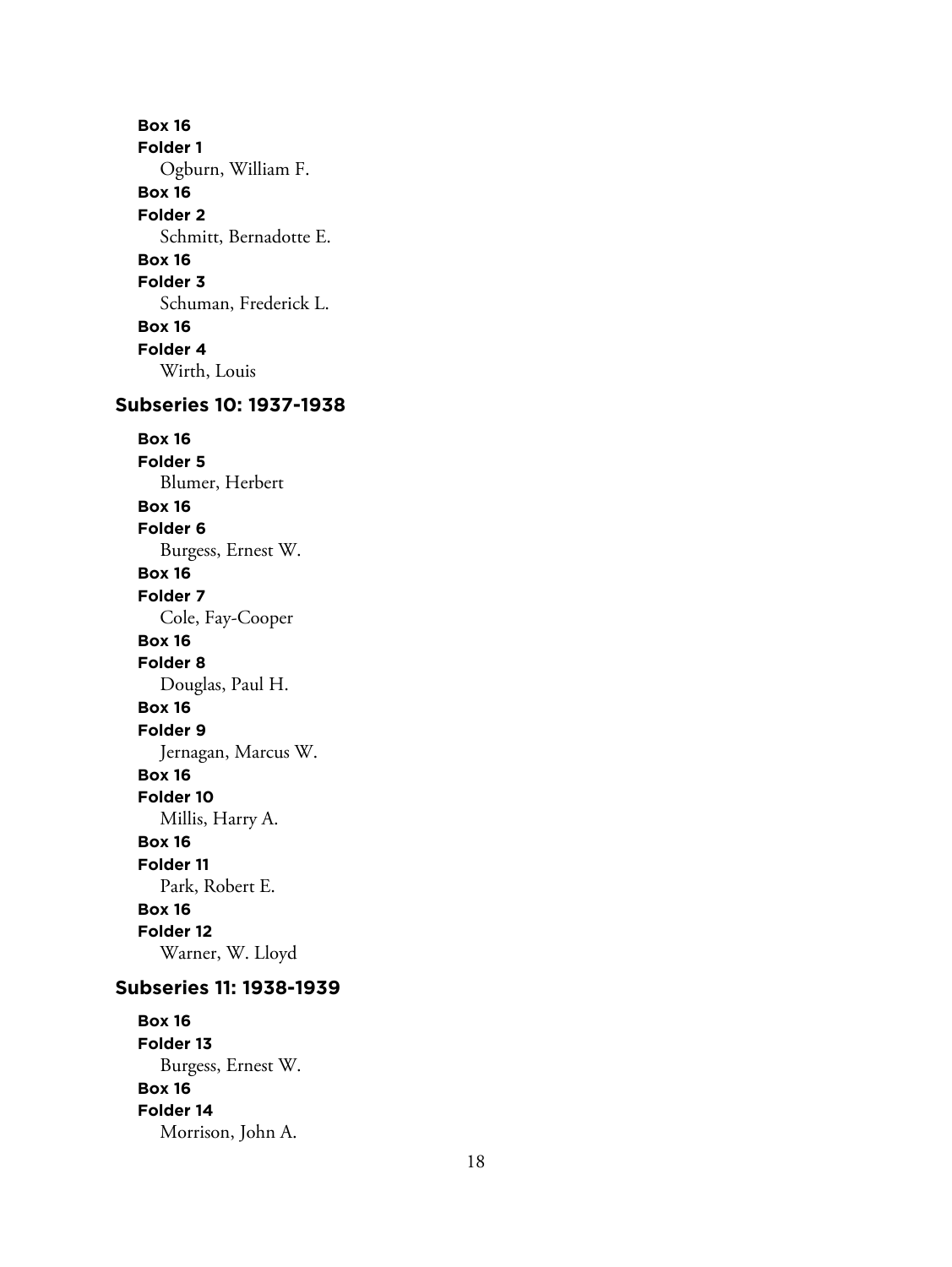**Box 16 Folder 1** Ogburn, William F. **Box 16 Folder 2** Schmitt, Bernadotte E. **Box 16 Folder 3** Schuman, Frederick L. **Box 16 Folder 4** Wirth, Louis

# **Subseries 10: 1937-1938**

**Box 16 Folder 5** Blumer, Herbert **Box 16 Folder 6** Burgess, Ernest W. **Box 16 Folder 7** Cole, Fay-Cooper **Box 16 Folder 8** Douglas, Paul H. **Box 16 Folder 9** Jernagan, Marcus W. **Box 16 Folder 10** Millis, Harry A. **Box 16 Folder 11** Park, Robert E. **Box 16 Folder 12** Warner, W. Lloyd

### **Subseries 11: 1938-1939**

**Box 16 Folder 13** Burgess, Ernest W. **Box 16 Folder 14** Morrison, John A.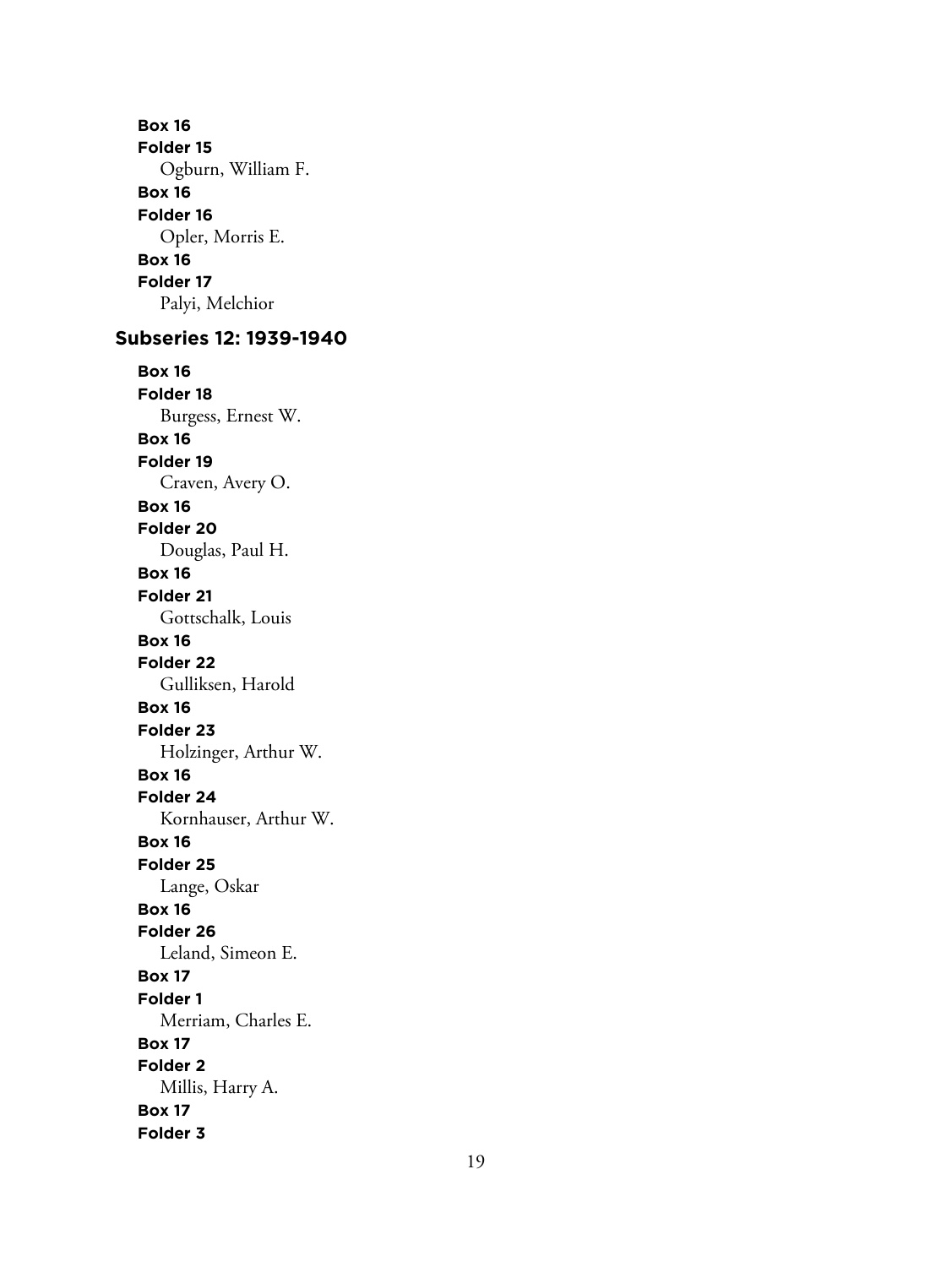**Box 16 Folder 15** Ogburn, William F. **Box 16 Folder 16** Opler, Morris E. **Box 16 Folder 17** Palyi, Melchior

# **Subseries 12: 1939-1940**

**Box 16 Folder 18** Burgess, Ernest W. **Box 16 Folder 19** Craven, Avery O. **Box 16 Folder 20** Douglas, Paul H. **Box 16 Folder 21** Gottschalk, Louis **Box 16 Folder 22** Gulliksen, Harold **Box 16 Folder 23** Holzinger, Arthur W. **Box 16 Folder 24** Kornhauser, Arthur W. **Box 16 Folder 25** Lange, Oskar **Box 16 Folder 26** Leland, Simeon E. **Box 17 Folder 1** Merriam, Charles E. **Box 17 Folder 2** Millis, Harry A. **Box 17 Folder 3**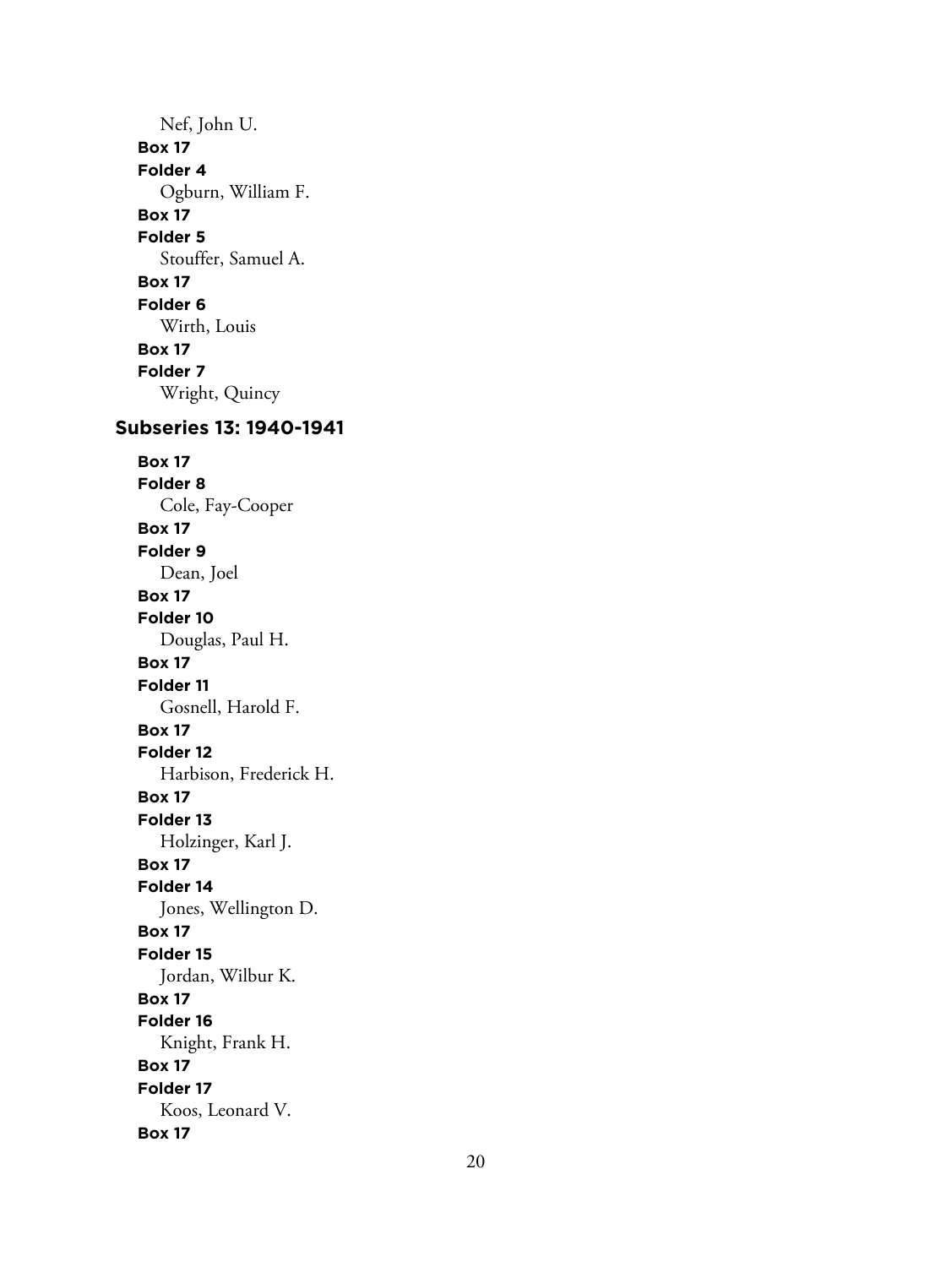Nef, John U. **Box 17 Folder 4** Ogburn, William F. **Box 17 Folder 5** Stouffer, Samuel A. **Box 17 Folder 6** Wirth, Louis **Box 17 Folder 7** Wright, Quincy **Subseries 13: 1940-1941 Box 17 Folder 8** Cole, Fay-Cooper **Box 17 Folder 9** Dean, Joel **Box 17 Folder 10** Douglas, Paul H. **Box 17 Folder 11** Gosnell, Harold F. **Box 17 Folder 12** Harbison, Frederick H. **Box 17 Folder 13** Holzinger, Karl J. **Box 17 Folder 14** Jones, Wellington D. **Box 17 Folder 15** Jordan, Wilbur K. **Box 17 Folder 16** Knight, Frank H. **Box 17 Folder 17** Koos, Leonard V. **Box 17**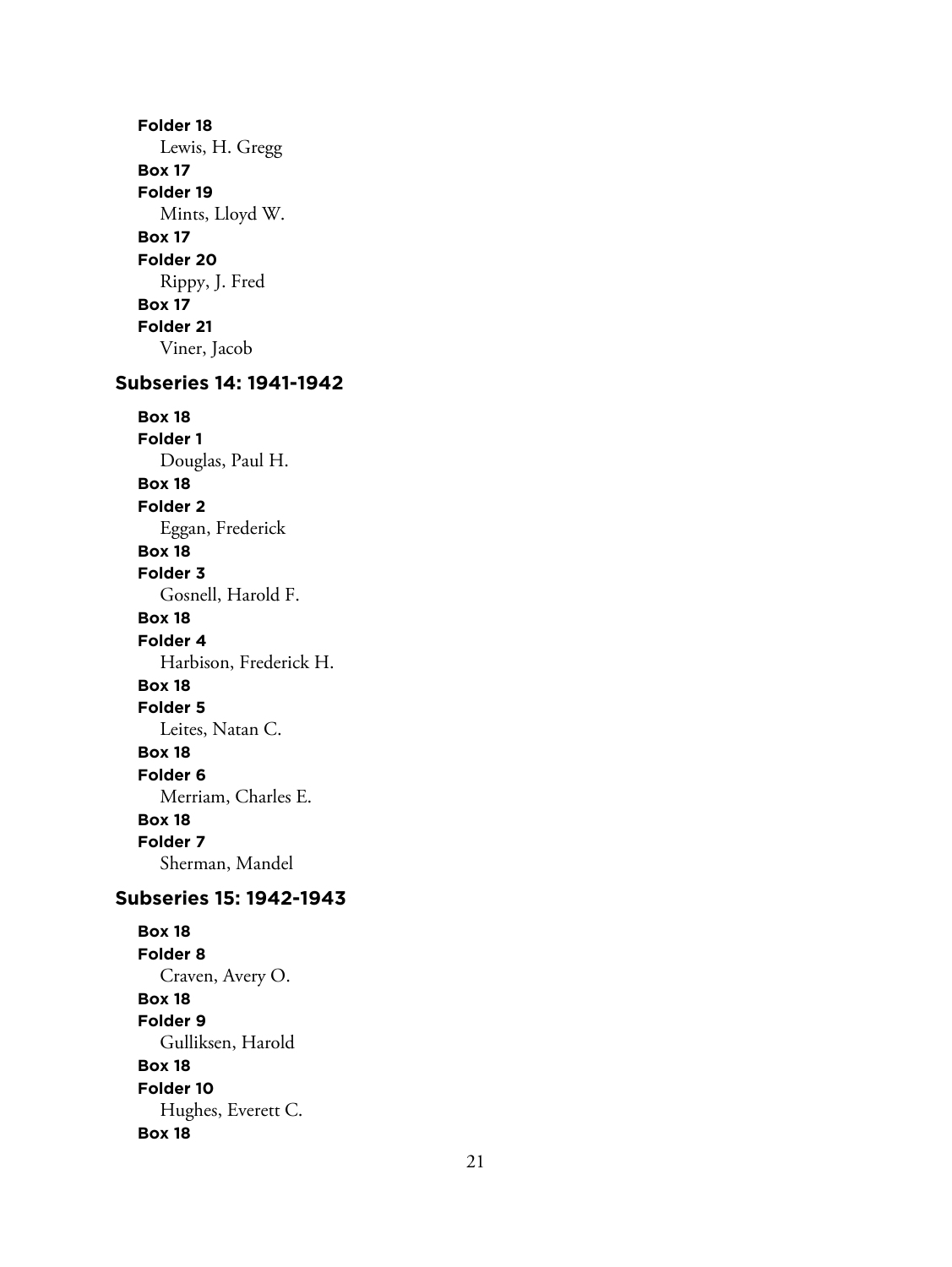**Folder 18** Lewis, H. Gregg **Box 17 Folder 19** Mints, Lloyd W. **Box 17 Folder 20** Rippy, J. Fred **Box 17 Folder 21** Viner, Jacob

# **Subseries 14: 1941-1942**

**Box 18 Folder 1** Douglas, Paul H. **Box 18 Folder 2** Eggan, Frederick **Box 18 Folder 3** Gosnell, Harold F. **Box 18 Folder 4** Harbison, Frederick H. **Box 18 Folder 5** Leites, Natan C. **Box 18 Folder 6** Merriam, Charles E. **Box 18 Folder 7** Sherman, Mandel

# **Subseries 15: 1942-1943**

**Box 18 Folder 8** Craven, Avery O. **Box 18 Folder 9** Gulliksen, Harold **Box 18 Folder 10** Hughes, Everett C. **Box 18**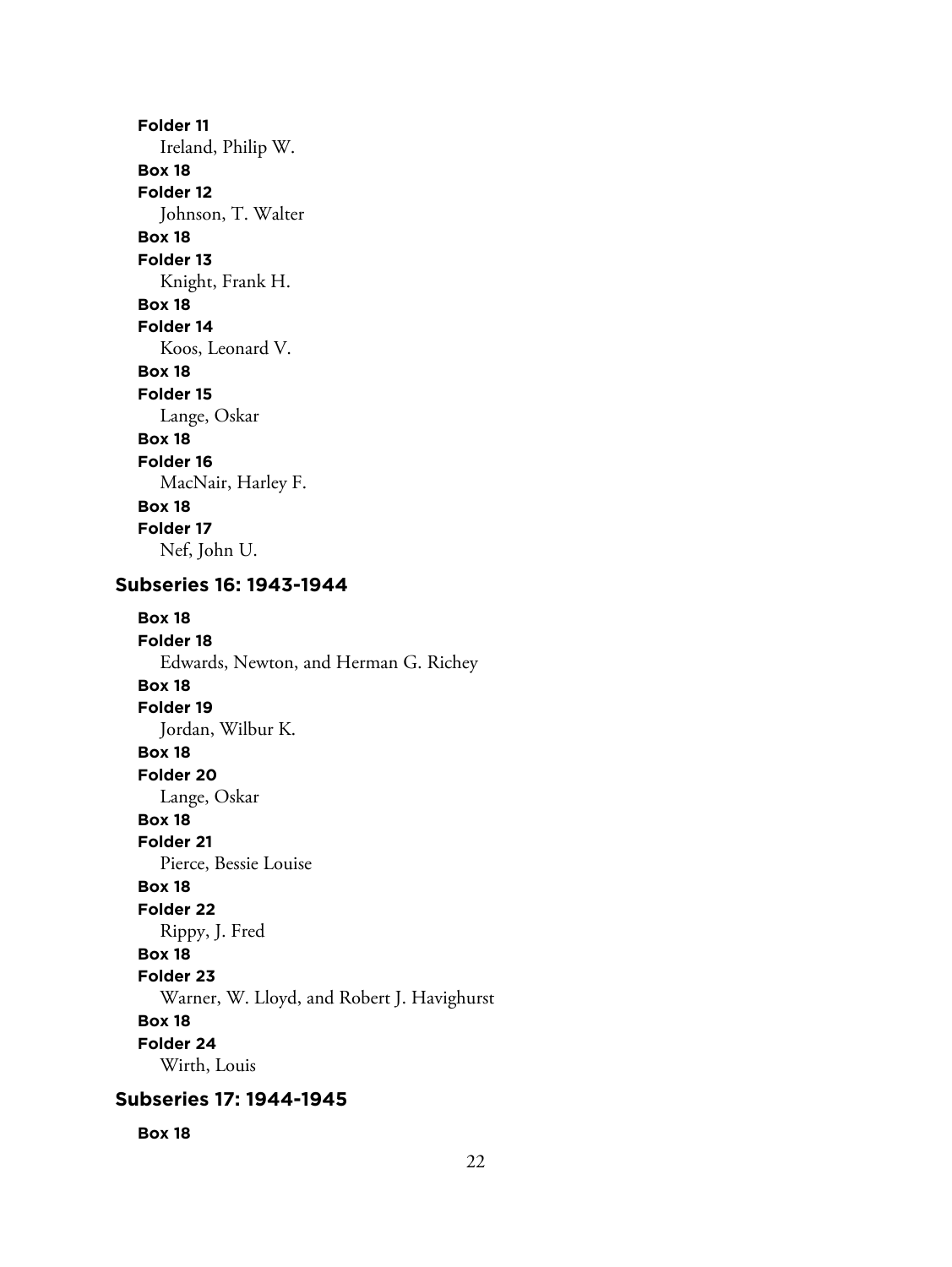**Folder 11** Ireland, Philip W. **Box 18 Folder 12** Johnson, T. Walter **Box 18 Folder 13** Knight, Frank H. **Box 18 Folder 14** Koos, Leonard V. **Box 18 Folder 15** Lange, Oskar **Box 18 Folder 16** MacNair, Harley F. **Box 18 Folder 17** Nef, John U.

## **Subseries 16: 1943-1944**

**Box 18 Folder 18** Edwards, Newton, and Herman G. Richey **Box 18 Folder 19** Jordan, Wilbur K. **Box 18 Folder 20** Lange, Oskar **Box 18 Folder 21** Pierce, Bessie Louise **Box 18 Folder 22** Rippy, J. Fred **Box 18 Folder 23** Warner, W. Lloyd, and Robert J. Havighurst **Box 18 Folder 24** Wirth, Louis

## **Subseries 17: 1944-1945**

**Box 18**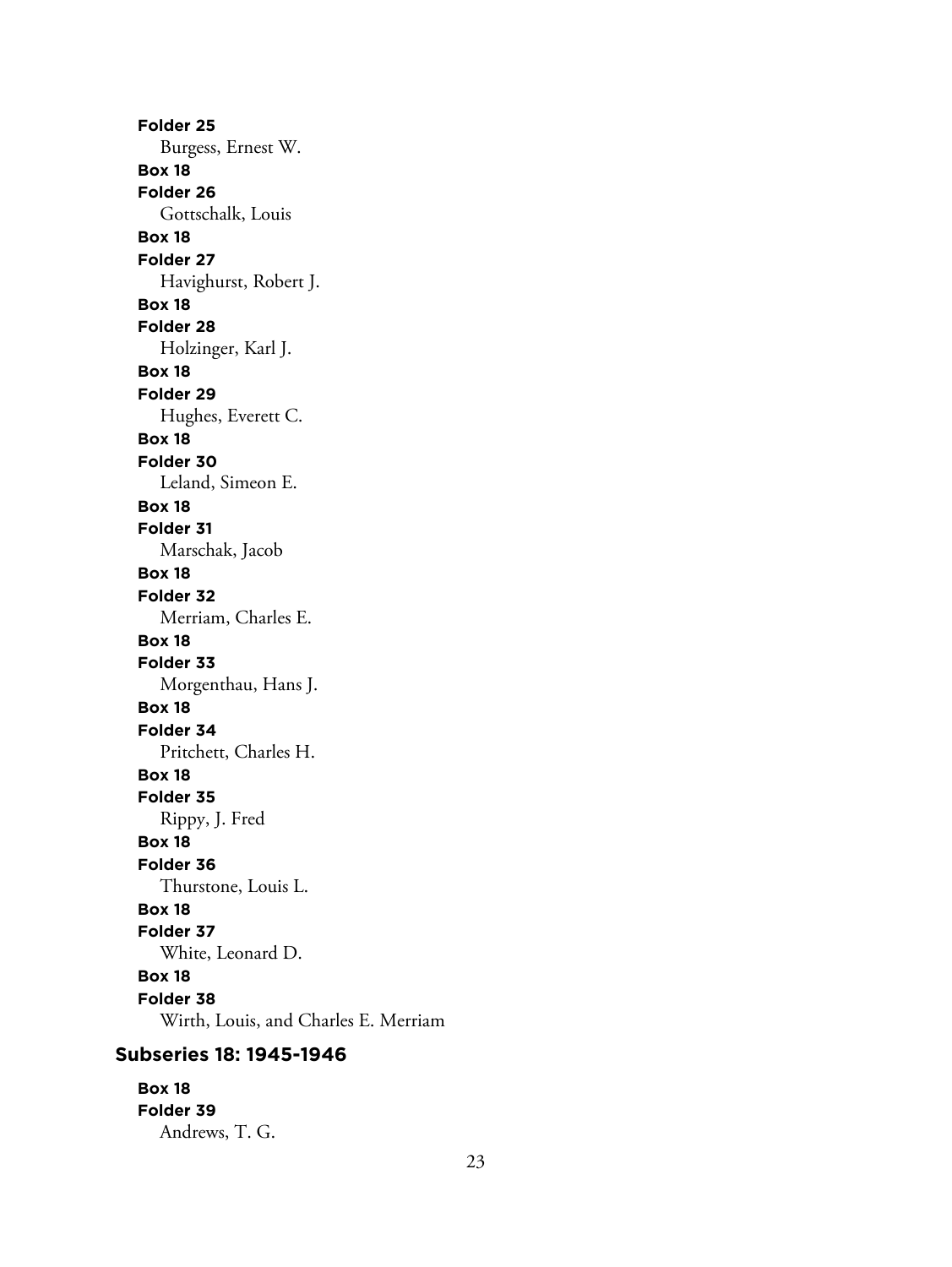**Folder 25** Burgess, Ernest W. **Box 18 Folder 26** Gottschalk, Louis **Box 18 Folder 27** Havighurst, Robert J. **Box 18 Folder 28** Holzinger, Karl J. **Box 18 Folder 29** Hughes, Everett C. **Box 18 Folder 30** Leland, Simeon E. **Box 18 Folder 31** Marschak, Jacob **Box 18 Folder 32** Merriam, Charles E. **Box 18 Folder 33** Morgenthau, Hans J. **Box 18 Folder 34** Pritchett, Charles H. **Box 18 Folder 35** Rippy, J. Fred **Box 18 Folder 36** Thurstone, Louis L. **Box 18 Folder 37** White, Leonard D. **Box 18 Folder 38** Wirth, Louis, and Charles E. Merriam

## **Subseries 18: 1945-1946**

**Box 18 Folder 39** Andrews, T. G.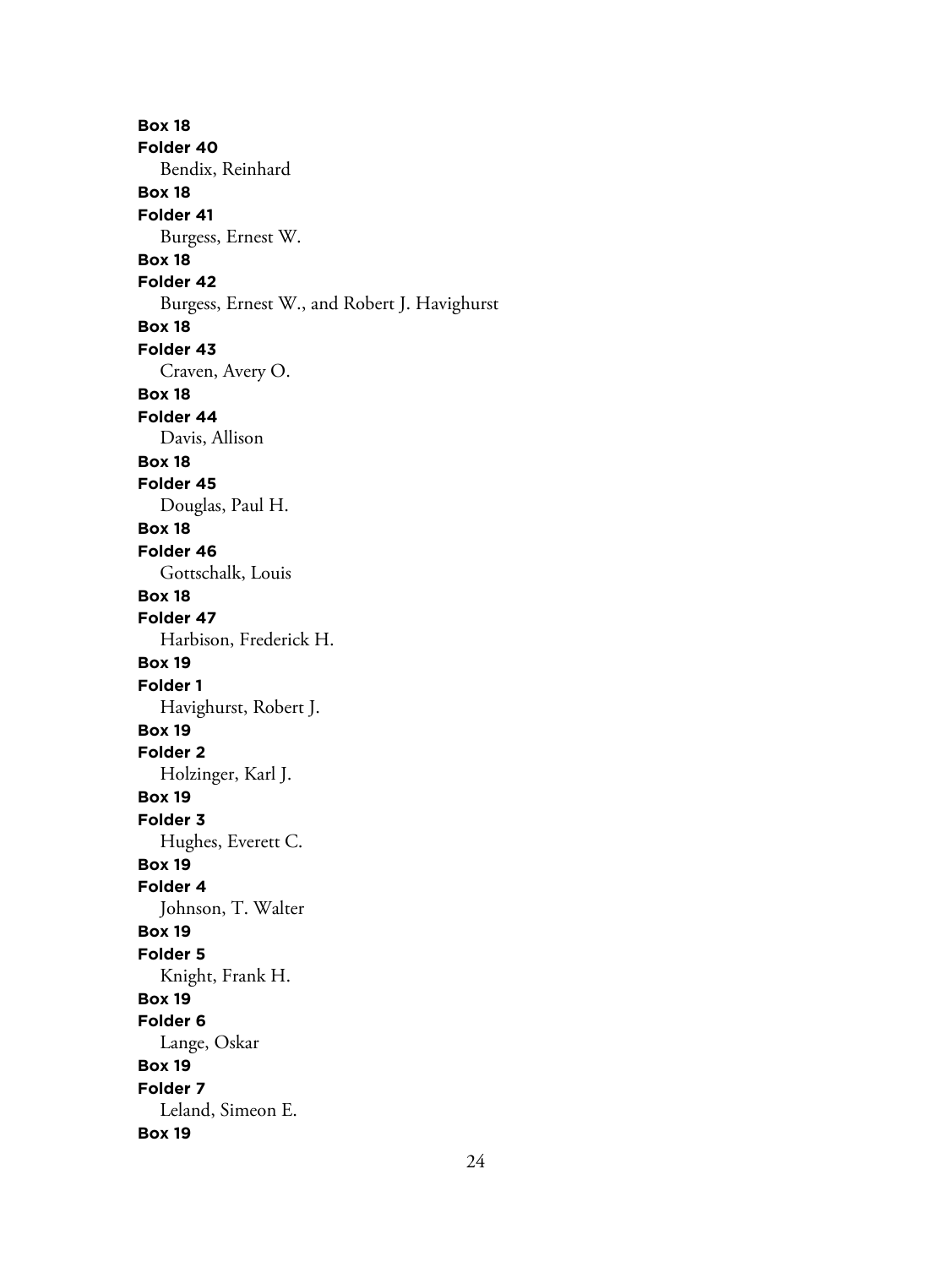**Box 18 Folder 40** Bendix, Reinhard **Box 18 Folder 41** Burgess, Ernest W. **Box 18 Folder 42** Burgess, Ernest W., and Robert J. Havighurst **Box 18 Folder 43** Craven, Avery O. **Box 18 Folder 44** Davis, Allison **Box 18 Folder 45** Douglas, Paul H. **Box 18 Folder 46** Gottschalk, Louis **Box 18 Folder 47** Harbison, Frederick H. **Box 19 Folder 1** Havighurst, Robert J. **Box 19 Folder 2** Holzinger, Karl J. **Box 19 Folder 3** Hughes, Everett C. **Box 19 Folder 4** Johnson, T. Walter **Box 19 Folder 5** Knight, Frank H. **Box 19 Folder 6** Lange, Oskar **Box 19 Folder 7** Leland, Simeon E. **Box 19**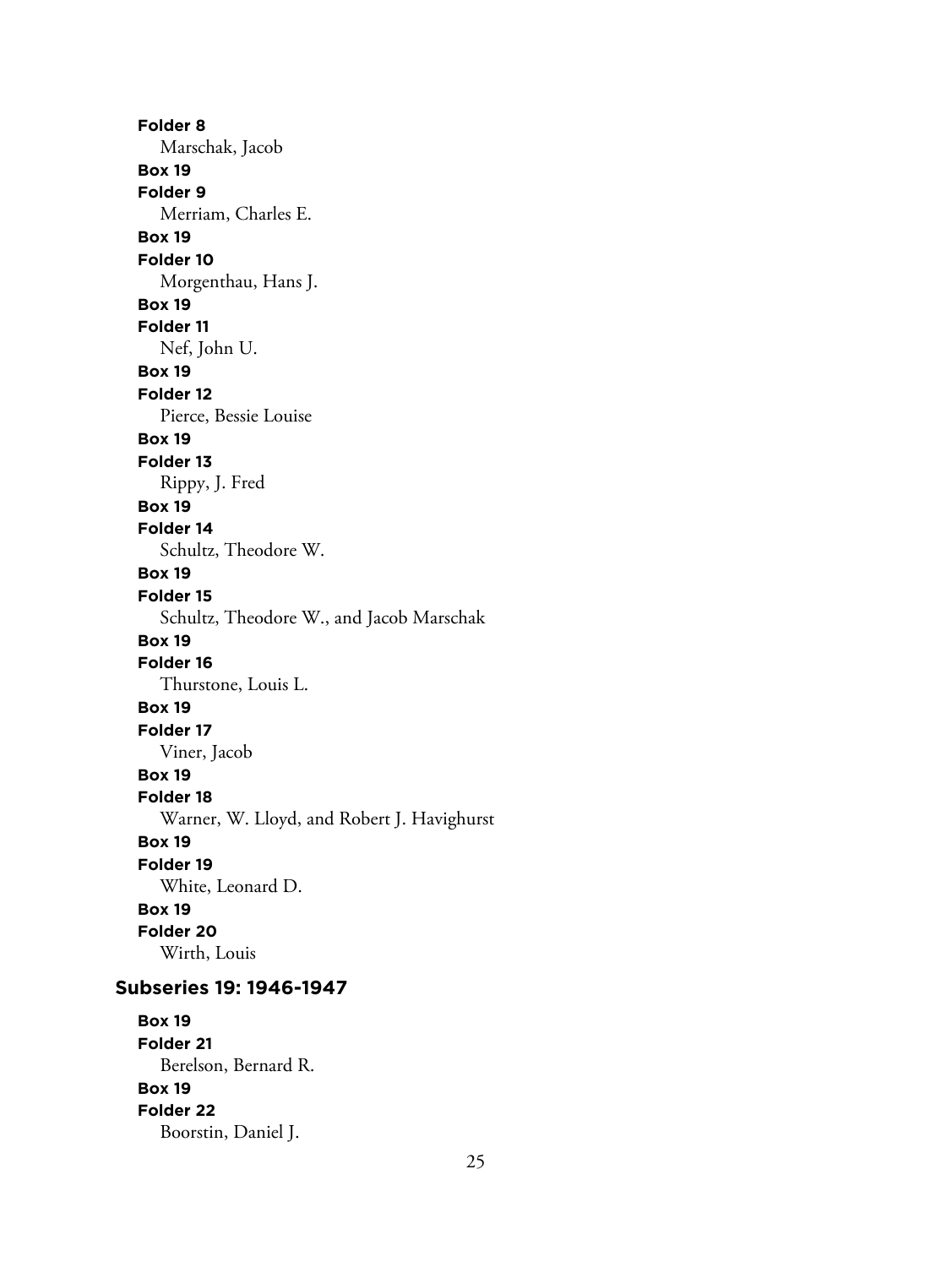**Folder 8** Marschak, Jacob **Box 19 Folder 9** Merriam, Charles E. **Box 19 Folder 10** Morgenthau, Hans J. **Box 19 Folder 11** Nef, John U. **Box 19 Folder 12** Pierce, Bessie Louise **Box 19 Folder 13** Rippy, J. Fred **Box 19 Folder 14** Schultz, Theodore W. **Box 19 Folder 15** Schultz, Theodore W., and Jacob Marschak **Box 19 Folder 16** Thurstone, Louis L. **Box 19 Folder 17** Viner, Jacob **Box 19 Folder 18** Warner, W. Lloyd, and Robert J. Havighurst **Box 19 Folder 19** White, Leonard D. **Box 19 Folder 20** Wirth, Louis **Subseries 19: 1946-1947**

**Box 19 Folder 21** Berelson, Bernard R. **Box 19 Folder 22** Boorstin, Daniel J.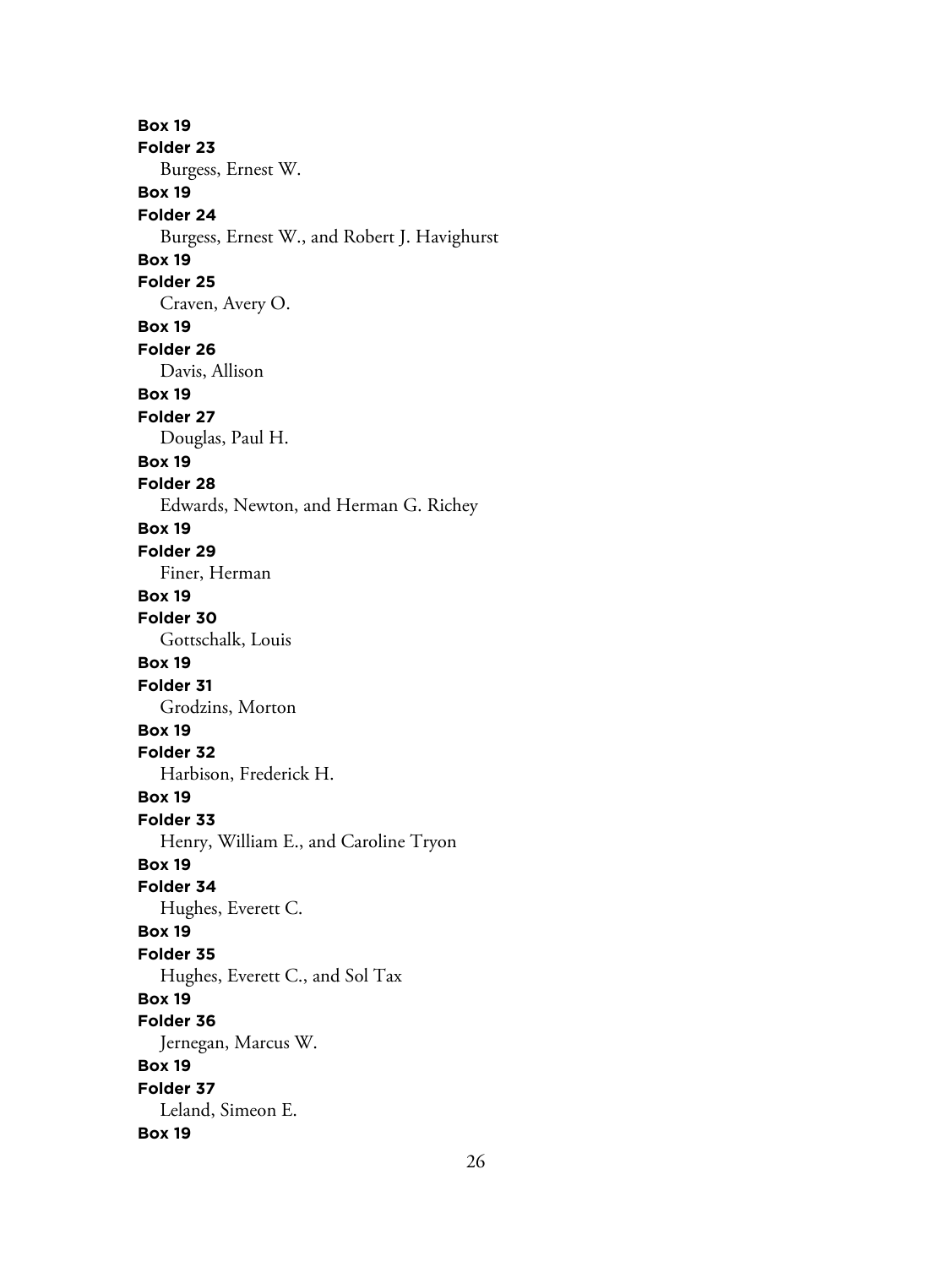**Box 19 Folder 23** Burgess, Ernest W. **Box 19 Folder 24** Burgess, Ernest W., and Robert J. Havighurst **Box 19 Folder 25** Craven, Avery O. **Box 19 Folder 26** Davis, Allison **Box 19 Folder 27** Douglas, Paul H. **Box 19 Folder 28** Edwards, Newton, and Herman G. Richey **Box 19 Folder 29** Finer, Herman **Box 19 Folder 30** Gottschalk, Louis **Box 19 Folder 31** Grodzins, Morton **Box 19 Folder 32** Harbison, Frederick H. **Box 19 Folder 33** Henry, William E., and Caroline Tryon **Box 19 Folder 34** Hughes, Everett C. **Box 19 Folder 35** Hughes, Everett C., and Sol Tax **Box 19 Folder 36** Jernegan, Marcus W. **Box 19 Folder 37** Leland, Simeon E. **Box 19**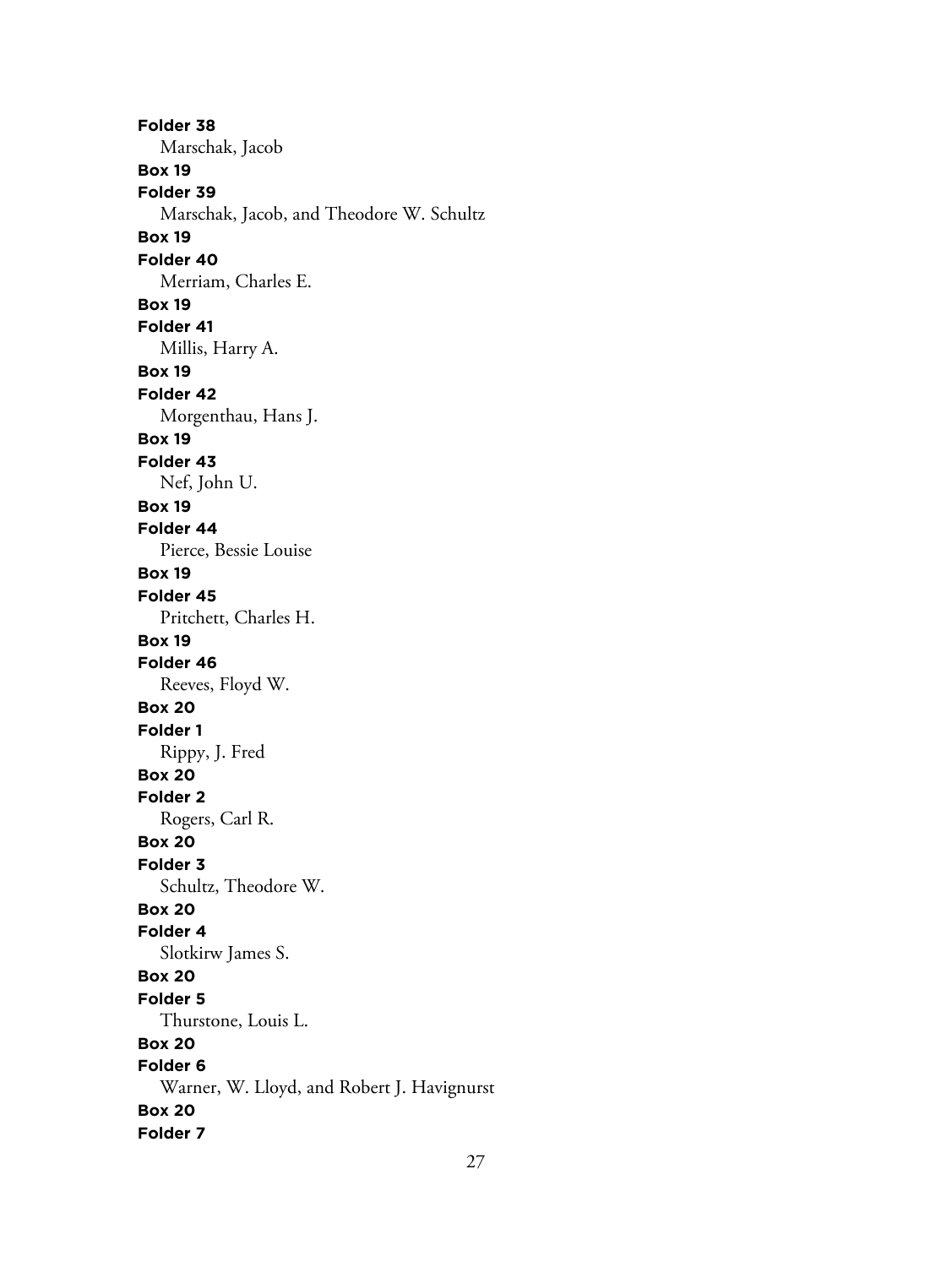**Folder 38** Marschak, Jacob **Box 19 Folder 39** Marschak, Jacob, and Theodore W. Schultz **Box 19 Folder 40** Merriam, Charles E. **Box 19 Folder 41** Millis, Harry A. **Box 19 Folder 42** Morgenthau, Hans J. **Box 19 Folder 43** Nef, John U. **Box 19 Folder 44** Pierce, Bessie Louise **Box 19 Folder 45** Pritchett, Charles H. **Box 19 Folder 46** Reeves, Floyd W. **Box 20 Folder 1** Rippy, J. Fred **Box 20 Folder 2** Rogers, Carl R. **Box 20 Folder 3** Schultz, Theodore W. **Box 20 Folder 4** Slotkirw James S. **Box 20 Folder 5** Thurstone, Louis L. **Box 20 Folder 6** Warner, W. Lloyd, and Robert J. Havignurst **Box 20 Folder 7**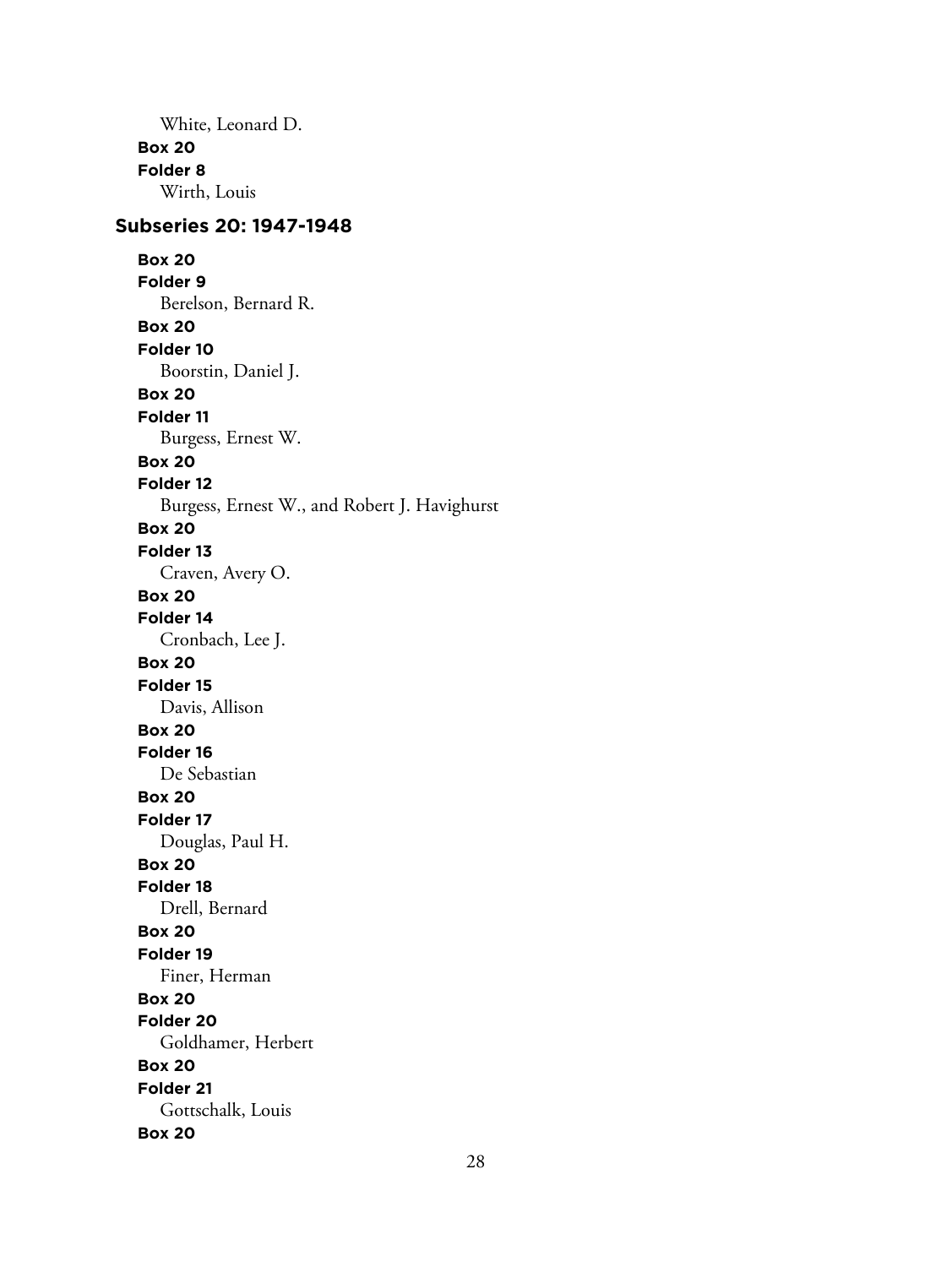White, Leonard D. **Box 20 Folder 8** Wirth, Louis

# **Subseries 20: 1947-1948**

**Box 20 Folder 9** Berelson, Bernard R. **Box 20 Folder 10** Boorstin, Daniel J. **Box 20 Folder 11** Burgess, Ernest W. **Box 20 Folder 12** Burgess, Ernest W., and Robert J. Havighurst **Box 20 Folder 13** Craven, Avery O. **Box 20 Folder 14** Cronbach, Lee J. **Box 20 Folder 15** Davis, Allison **Box 20 Folder 16** De Sebastian **Box 20 Folder 17** Douglas, Paul H. **Box 20 Folder 18** Drell, Bernard **Box 20 Folder 19** Finer, Herman **Box 20 Folder 20** Goldhamer, Herbert **Box 20 Folder 21** Gottschalk, Louis **Box 20**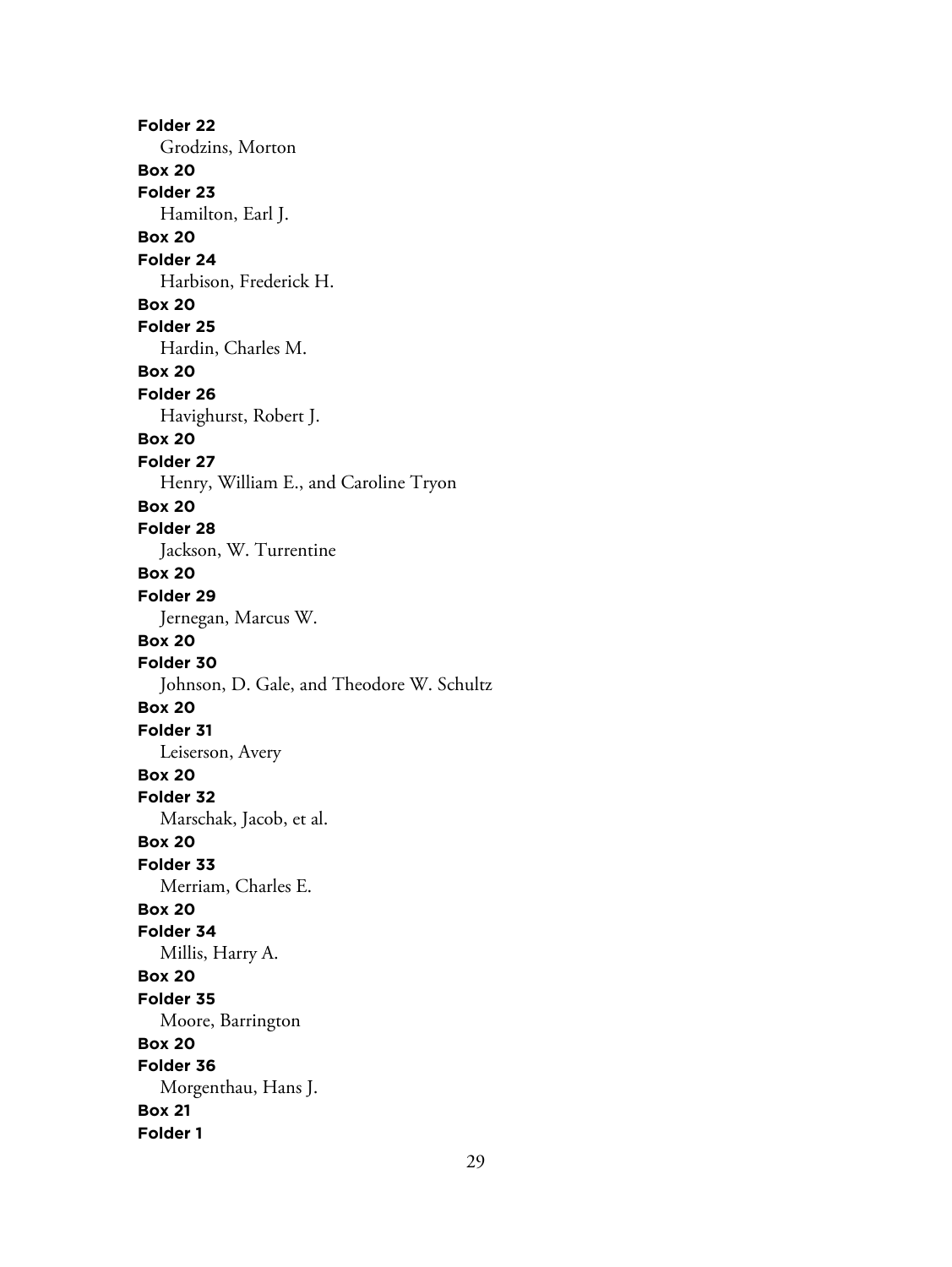**Folder 22** Grodzins, Morton **Box 20 Folder 23** Hamilton, Earl J. **Box 20 Folder 24** Harbison, Frederick H. **Box 20 Folder 25** Hardin, Charles M. **Box 20 Folder 26** Havighurst, Robert J. **Box 20 Folder 27** Henry, William E., and Caroline Tryon **Box 20 Folder 28** Jackson, W. Turrentine **Box 20 Folder 29** Jernegan, Marcus W. **Box 20 Folder 30** Johnson, D. Gale, and Theodore W. Schultz **Box 20 Folder 31** Leiserson, Avery **Box 20 Folder 32** Marschak, Jacob, et al. **Box 20 Folder 33** Merriam, Charles E. **Box 20 Folder 34** Millis, Harry A. **Box 20 Folder 35** Moore, Barrington **Box 20 Folder 36** Morgenthau, Hans J. **Box 21 Folder 1**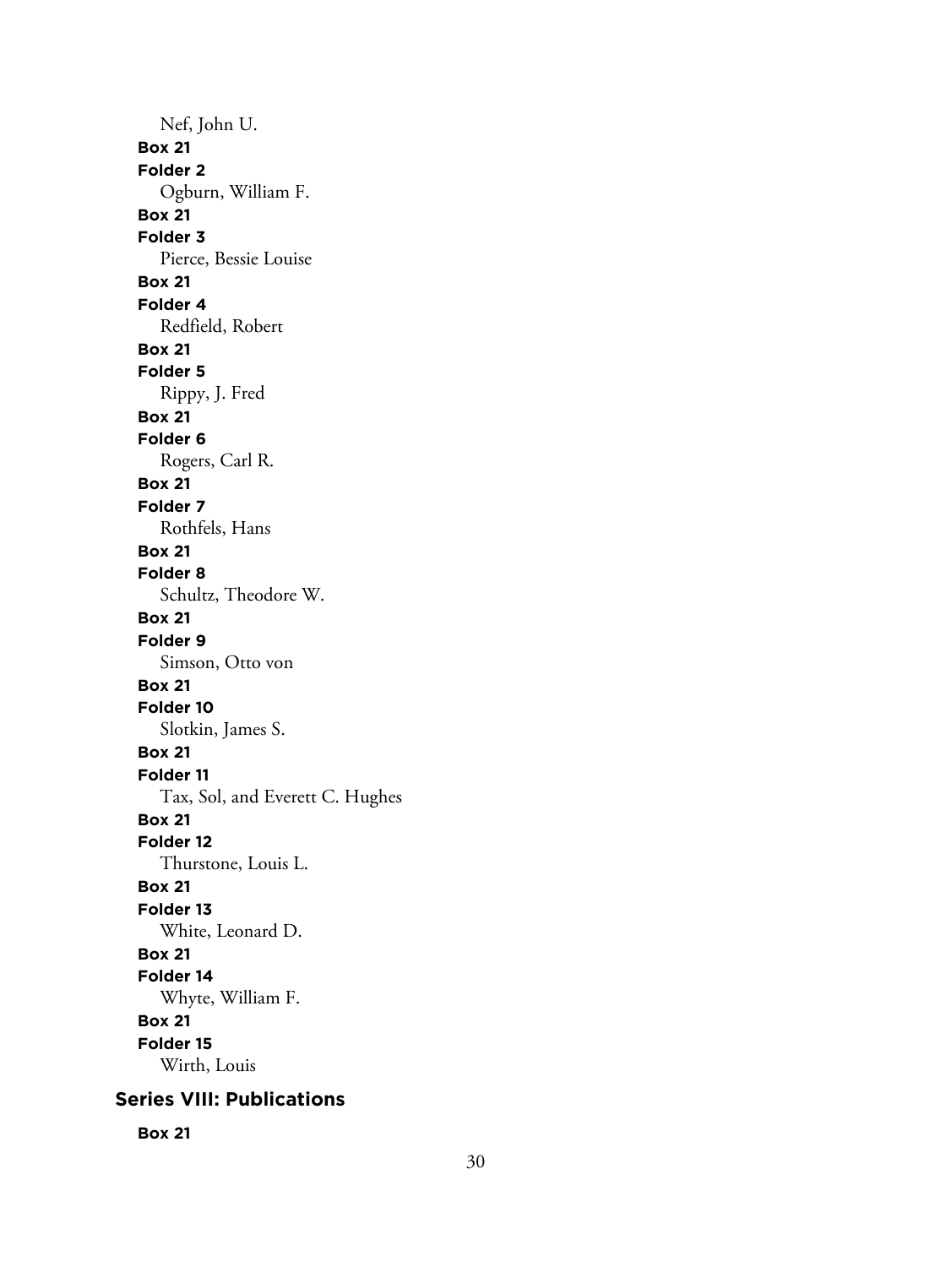Nef, John U. **Box 21 Folder 2** Ogburn, William F. **Box 21 Folder 3** Pierce, Bessie Louise **Box 21 Folder 4** Redfield, Robert **Box 21 Folder 5** Rippy, J. Fred **Box 21 Folder 6** Rogers, Carl R. **Box 21 Folder 7** Rothfels, Hans **Box 21 Folder 8** Schultz, Theodore W. **Box 21 Folder 9** Simson, Otto von **Box 21 Folder 10** Slotkin, James S. **Box 21 Folder 11** Tax, Sol, and Everett C. Hughes **Box 21 Folder 12** Thurstone, Louis L. **Box 21 Folder 13** White, Leonard D. **Box 21 Folder 14** Whyte, William F. **Box 21 Folder 15** Wirth, Louis

# **Series VIII: Publications**

**Box 21**